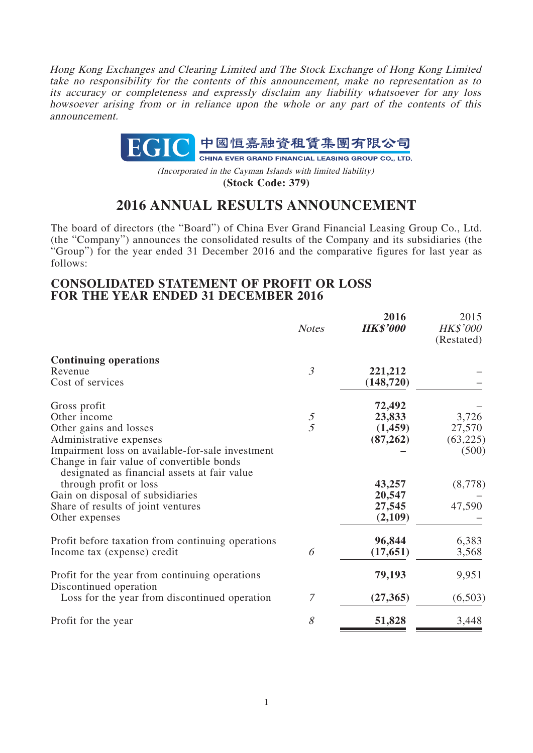Hong Kong Exchanges and Clearing Limited and The Stock Exchange of Hong Kong Limited take no responsibility for the contents of this announcement, make no representation as to its accuracy or completeness and expressly disclaim any liability whatsoever for any loss howsoever arising from or in reliance upon the whole or any part of the contents of this announcement.



(Incorporated in the Cayman Islands with limited liability)

**(Stock Code: 379)**

# **2016 ANNUAL RESULTS ANNOUNCEMENT**

The board of directors (the "Board") of China Ever Grand Financial Leasing Group Co., Ltd. (the "Company") announces the consolidated results of the Company and its subsidiaries (the "Group") for the year ended 31 December 2016 and the comparative figures for last year as follows:

## **CONSOLIDATED STATEMENT OF PROFIT OR LOSS FOR THE YEAR ENDED 31 DECEMBER 2016**

|                                                                                           | <b>Notes</b>   | 2016<br><b>HK\$'000</b> | 2015<br><b>HK\$'000</b><br>(Restated) |
|-------------------------------------------------------------------------------------------|----------------|-------------------------|---------------------------------------|
| <b>Continuing operations</b>                                                              |                |                         |                                       |
| Revenue                                                                                   | $\mathfrak{Z}$ | 221,212                 |                                       |
| Cost of services                                                                          |                | (148, 720)              |                                       |
| Gross profit                                                                              |                | 72,492                  |                                       |
| Other income                                                                              | 5              | 23,833                  | 3,726                                 |
| Other gains and losses                                                                    | $\overline{5}$ | (1,459)                 | 27,570                                |
| Administrative expenses                                                                   |                | (87, 262)               | (63, 225)                             |
| Impairment loss on available-for-sale investment                                          |                |                         | (500)                                 |
| Change in fair value of convertible bonds<br>designated as financial assets at fair value |                |                         |                                       |
| through profit or loss                                                                    |                | 43,257                  | (8,778)                               |
| Gain on disposal of subsidiaries                                                          |                | 20,547                  |                                       |
| Share of results of joint ventures                                                        |                | 27,545                  | 47,590                                |
| Other expenses                                                                            |                | (2,109)                 |                                       |
| Profit before taxation from continuing operations                                         |                | 96,844                  | 6,383                                 |
| Income tax (expense) credit                                                               | 6              | (17, 651)               | 3,568                                 |
| Profit for the year from continuing operations                                            |                | 79,193                  | 9,951                                 |
| Discontinued operation<br>Loss for the year from discontinued operation                   | 7              | (27, 365)               | (6,503)                               |
|                                                                                           |                |                         |                                       |
| Profit for the year                                                                       | 8              | 51,828                  | 3,448                                 |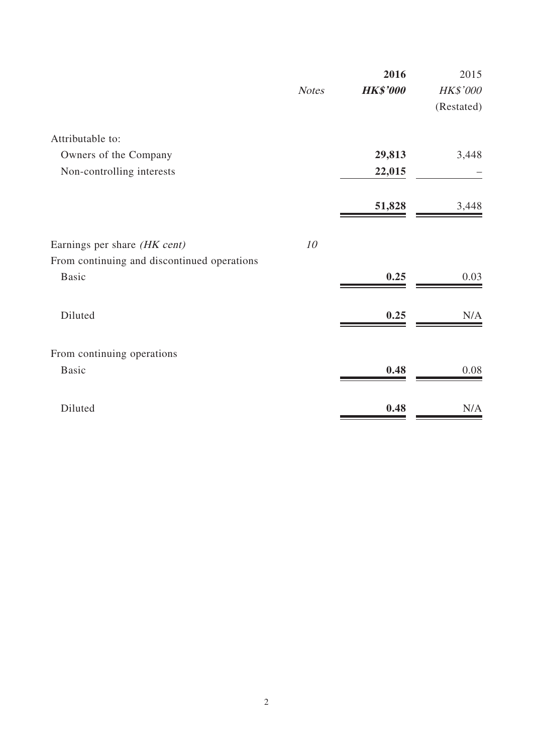|                                             |              | 2016            | 2015       |
|---------------------------------------------|--------------|-----------------|------------|
|                                             | <b>Notes</b> | <b>HK\$'000</b> | HK\$'000   |
|                                             |              |                 | (Restated) |
| Attributable to:                            |              |                 |            |
| Owners of the Company                       |              | 29,813          | 3,448      |
| Non-controlling interests                   |              | 22,015          |            |
|                                             |              | 51,828          | 3,448      |
| Earnings per share (HK cent)                | 10           |                 |            |
| From continuing and discontinued operations |              |                 |            |
| <b>Basic</b>                                |              | 0.25            | 0.03       |
| Diluted                                     |              | 0.25            | N/A        |
| From continuing operations                  |              |                 |            |
| <b>Basic</b>                                |              | 0.48            | 0.08       |
|                                             |              |                 |            |
| Diluted                                     |              | 0.48            | N/A        |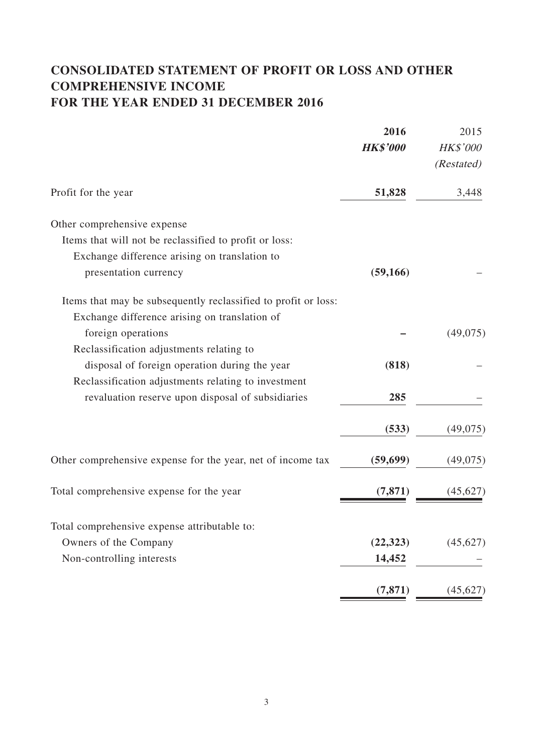# **CONSOLIDATED STATEMENT OF PROFIT OR LOSS AND OTHER COMPREHENSIVE INCOME FOR THE YEAR ENDED 31 DECEMBER 2016**

|                                                                | 2016            | 2015                          |
|----------------------------------------------------------------|-----------------|-------------------------------|
|                                                                | <b>HK\$'000</b> | <b>HK\$'000</b><br>(Restated) |
| Profit for the year                                            | 51,828          | 3,448                         |
| Other comprehensive expense                                    |                 |                               |
| Items that will not be reclassified to profit or loss:         |                 |                               |
| Exchange difference arising on translation to                  |                 |                               |
| presentation currency                                          | (59, 166)       |                               |
| Items that may be subsequently reclassified to profit or loss: |                 |                               |
| Exchange difference arising on translation of                  |                 |                               |
| foreign operations                                             |                 | (49,075)                      |
| Reclassification adjustments relating to                       |                 |                               |
| disposal of foreign operation during the year                  | (818)           |                               |
| Reclassification adjustments relating to investment            |                 |                               |
| revaluation reserve upon disposal of subsidiaries              | 285             |                               |
|                                                                | (533)           | (49,075)                      |
| Other comprehensive expense for the year, net of income tax    | (59, 699)       | (49,075)                      |
| Total comprehensive expense for the year                       | (7, 871)        | (45,627)                      |
| Total comprehensive expense attributable to:                   |                 |                               |
| Owners of the Company                                          | (22, 323)       | (45, 627)                     |
| Non-controlling interests                                      | 14,452          |                               |
|                                                                | (7, 871)        | (45, 627)                     |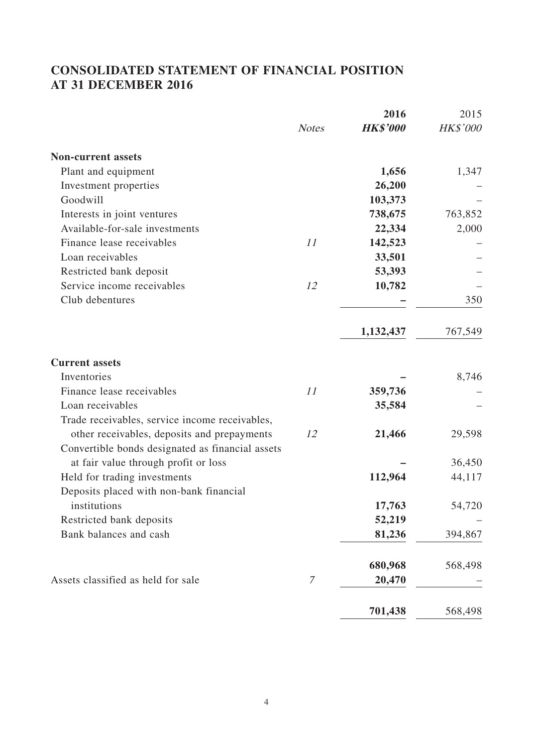# **CONSOLIDATED STATEMENT OF FINANCIAL POSITION AT 31 DECEMBER 2016**

| 2016            | 2015               |
|-----------------|--------------------|
| <b>HK\$'000</b> | HK\$'000           |
|                 |                    |
| 1,656           | 1,347              |
| 26,200          |                    |
| 103,373         |                    |
| 738,675         | 763,852            |
| 22,334          | 2,000              |
| 142,523         |                    |
| 33,501          |                    |
| 53,393          |                    |
| 10,782          |                    |
|                 | 350                |
| 1,132,437       | 767,549            |
|                 |                    |
|                 | 8,746              |
| 359,736         |                    |
| 35,584          |                    |
|                 |                    |
| 21,466          | 29,598             |
|                 |                    |
|                 | 36,450             |
| 112,964         | 44,117             |
|                 |                    |
| 17,763          | 54,720             |
| 52,219          |                    |
| 81,236          | 394,867            |
|                 | 568,498            |
| 20,470          |                    |
|                 | 568,498            |
|                 | 680,968<br>701,438 |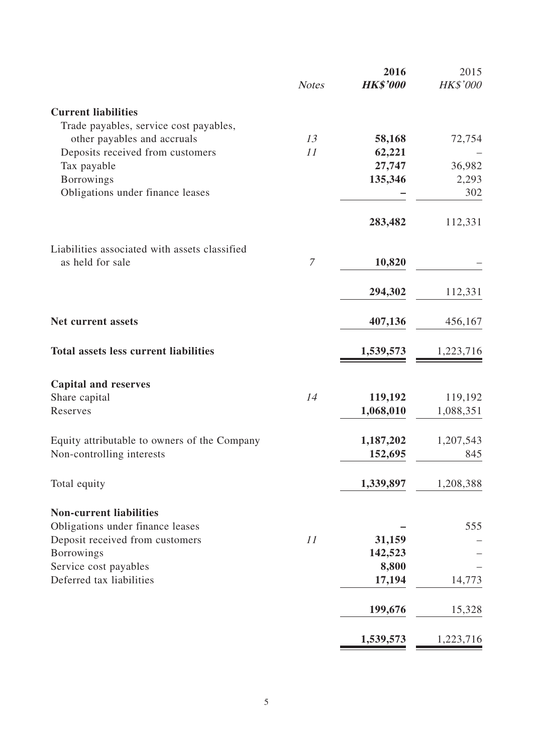|                                               | <b>Notes</b> | 2016<br><b>HK\$'000</b> | 2015<br>HK\$'000 |
|-----------------------------------------------|--------------|-------------------------|------------------|
| <b>Current liabilities</b>                    |              |                         |                  |
| Trade payables, service cost payables,        |              |                         |                  |
| other payables and accruals                   | 13           | 58,168                  | 72,754           |
| Deposits received from customers              | 11           | 62,221                  |                  |
| Tax payable                                   |              | 27,747                  | 36,982           |
| <b>Borrowings</b>                             |              | 135,346                 | 2,293            |
| Obligations under finance leases              |              |                         | 302              |
|                                               |              | 283,482                 | 112,331          |
| Liabilities associated with assets classified |              |                         |                  |
| as held for sale                              | $\mathcal I$ | 10,820                  |                  |
|                                               |              | 294,302                 | 112,331          |
| <b>Net current assets</b>                     |              | 407,136                 | 456,167          |
| <b>Total assets less current liabilities</b>  |              | 1,539,573               | 1,223,716        |
| <b>Capital and reserves</b>                   |              |                         |                  |
| Share capital                                 | 14           | 119,192                 | 119,192          |
| Reserves                                      |              | 1,068,010               | 1,088,351        |
| Equity attributable to owners of the Company  |              | 1,187,202               | 1,207,543        |
| Non-controlling interests                     |              | 152,695                 | 845              |
| Total equity                                  |              | 1,339,897               | 1,208,388        |
| <b>Non-current liabilities</b>                |              |                         |                  |
| Obligations under finance leases              |              |                         | 555              |
| Deposit received from customers               | 11           | 31,159                  |                  |
| <b>Borrowings</b>                             |              | 142,523                 |                  |
| Service cost payables                         |              | 8,800                   |                  |
| Deferred tax liabilities                      |              | 17,194                  | 14,773           |
|                                               |              | 199,676                 | 15,328           |
|                                               |              | 1,539,573               | 1,223,716        |

 $\equiv$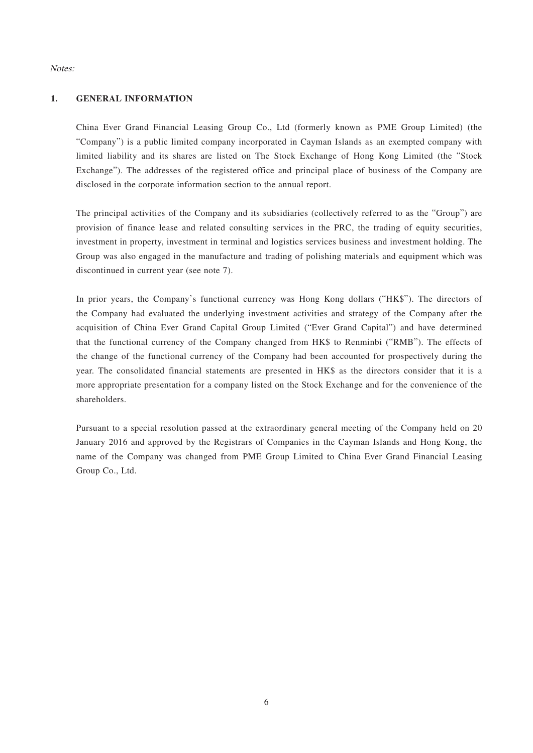#### Notes:

#### **1. GENERAL INFORMATION**

China Ever Grand Financial Leasing Group Co., Ltd (formerly known as PME Group Limited) (the "Company") is a public limited company incorporated in Cayman Islands as an exempted company with limited liability and its shares are listed on The Stock Exchange of Hong Kong Limited (the "Stock Exchange"). The addresses of the registered office and principal place of business of the Company are disclosed in the corporate information section to the annual report.

The principal activities of the Company and its subsidiaries (collectively referred to as the "Group") are provision of finance lease and related consulting services in the PRC, the trading of equity securities, investment in property, investment in terminal and logistics services business and investment holding. The Group was also engaged in the manufacture and trading of polishing materials and equipment which was discontinued in current year (see note 7).

In prior years, the Company's functional currency was Hong Kong dollars ("HK\$"). The directors of the Company had evaluated the underlying investment activities and strategy of the Company after the acquisition of China Ever Grand Capital Group Limited ("Ever Grand Capital") and have determined that the functional currency of the Company changed from HK\$ to Renminbi ("RMB"). The effects of the change of the functional currency of the Company had been accounted for prospectively during the year. The consolidated financial statements are presented in HK\$ as the directors consider that it is a more appropriate presentation for a company listed on the Stock Exchange and for the convenience of the shareholders.

Pursuant to a special resolution passed at the extraordinary general meeting of the Company held on 20 January 2016 and approved by the Registrars of Companies in the Cayman Islands and Hong Kong, the name of the Company was changed from PME Group Limited to China Ever Grand Financial Leasing Group Co., Ltd.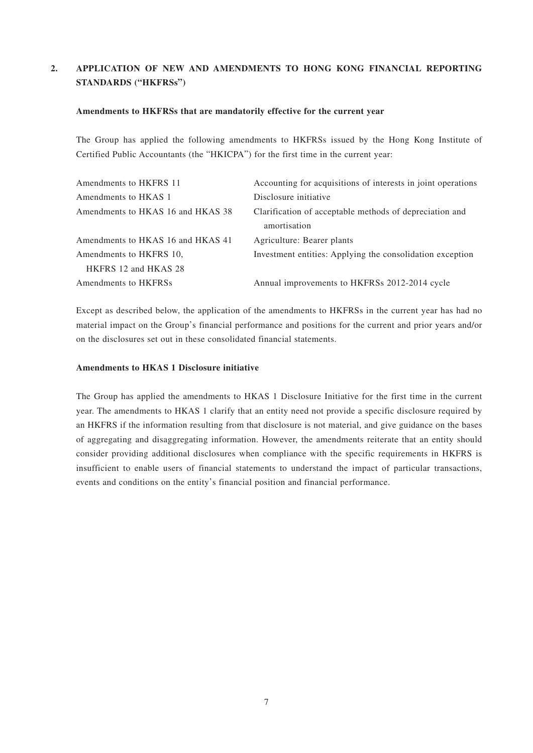### **2. APPLICATION OF NEW AND AMENDMENTS TO HONG KONG FINANCIAL REPORTING STANDARDS ("HKFRSs")**

#### **Amendments to HKFRSs that are mandatorily effective for the current year**

The Group has applied the following amendments to HKFRSs issued by the Hong Kong Institute of Certified Public Accountants (the "HKICPA") for the first time in the current year:

| Amendments to HKFRS 11            | Accounting for acquisitions of interests in joint operations |
|-----------------------------------|--------------------------------------------------------------|
| Amendments to HKAS 1              | Disclosure initiative                                        |
| Amendments to HKAS 16 and HKAS 38 | Clarification of acceptable methods of depreciation and      |
|                                   | amortisation                                                 |
| Amendments to HKAS 16 and HKAS 41 | Agriculture: Bearer plants                                   |
| Amendments to HKFRS 10,           | Investment entities: Applying the consolidation exception    |
| HKFRS 12 and HKAS 28              |                                                              |
| Amendments to HKFRSs              | Annual improvements to HKFRSs 2012-2014 cycle                |

Except as described below, the application of the amendments to HKFRSs in the current year has had no material impact on the Group's financial performance and positions for the current and prior years and/or on the disclosures set out in these consolidated financial statements.

#### **Amendments to HKAS 1 Disclosure initiative**

The Group has applied the amendments to HKAS 1 Disclosure Initiative for the first time in the current year. The amendments to HKAS 1 clarify that an entity need not provide a specific disclosure required by an HKFRS if the information resulting from that disclosure is not material, and give guidance on the bases of aggregating and disaggregating information. However, the amendments reiterate that an entity should consider providing additional disclosures when compliance with the specific requirements in HKFRS is insufficient to enable users of financial statements to understand the impact of particular transactions, events and conditions on the entity's financial position and financial performance.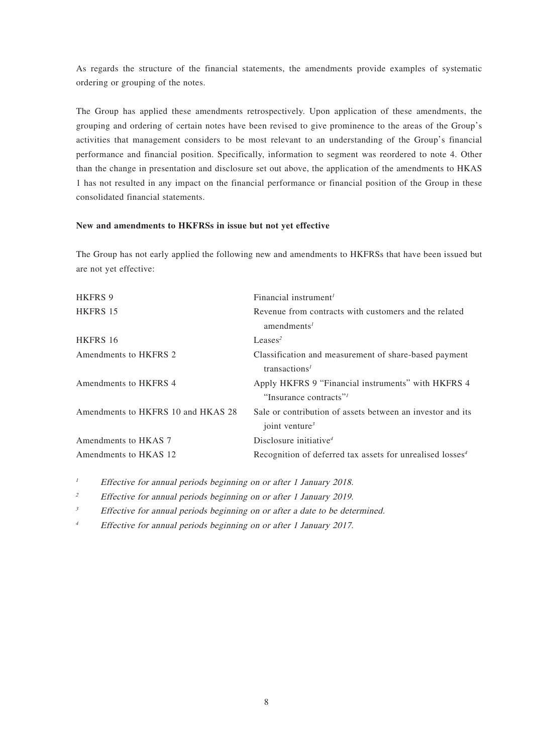As regards the structure of the financial statements, the amendments provide examples of systematic ordering or grouping of the notes.

The Group has applied these amendments retrospectively. Upon application of these amendments, the grouping and ordering of certain notes have been revised to give prominence to the areas of the Group's activities that management considers to be most relevant to an understanding of the Group's financial performance and financial position. Specifically, information to segment was reordered to note 4. Other than the change in presentation and disclosure set out above, the application of the amendments to HKAS 1 has not resulted in any impact on the financial performance or financial position of the Group in these consolidated financial statements.

#### **New and amendments to HKFRSs in issue but not yet effective**

The Group has not early applied the following new and amendments to HKFRSs that have been issued but are not yet effective:

| Financial instrument <sup>1</sup>                                     |
|-----------------------------------------------------------------------|
| Revenue from contracts with customers and the related                 |
| amendments <sup>1</sup>                                               |
| Leases <sup>2</sup>                                                   |
| Classification and measurement of share-based payment                 |
| transactions <sup>1</sup>                                             |
| Apply HKFRS 9 "Financial instruments" with HKFRS 4                    |
| "Insurance contracts"                                                 |
| Sale or contribution of assets between an investor and its            |
| joint venture <sup>3</sup>                                            |
| Disclosure initiative <sup>4</sup>                                    |
| Recognition of deferred tax assets for unrealised losses <sup>4</sup> |
|                                                                       |

<sup>1</sup> Effective for annual periods beginning on or after 1 January 2018.

<sup>2</sup> Effective for annual periods beginning on or after 1 January 2019.

 $3$  Effective for annual periods beginning on or after a date to be determined.

4 Effective for annual periods beginning on or after 1 January 2017.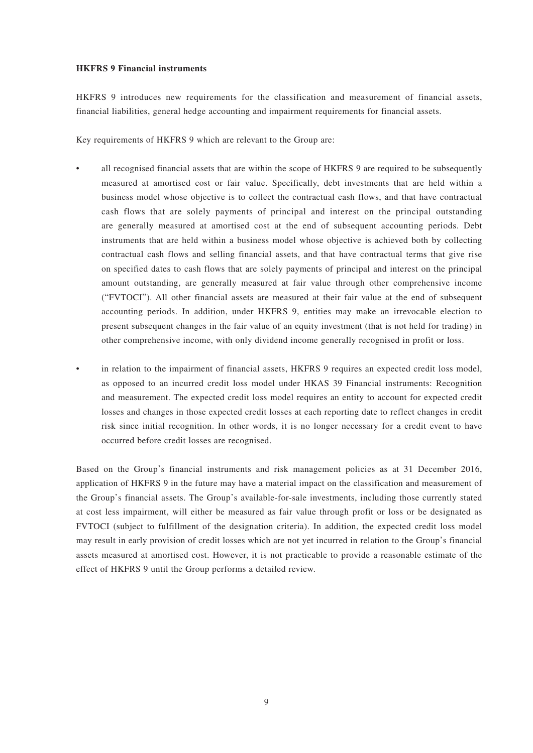#### **HKFRS 9 Financial instruments**

HKFRS 9 introduces new requirements for the classification and measurement of financial assets, financial liabilities, general hedge accounting and impairment requirements for financial assets.

Key requirements of HKFRS 9 which are relevant to the Group are:

- all recognised financial assets that are within the scope of HKFRS 9 are required to be subsequently measured at amortised cost or fair value. Specifically, debt investments that are held within a business model whose objective is to collect the contractual cash flows, and that have contractual cash flows that are solely payments of principal and interest on the principal outstanding are generally measured at amortised cost at the end of subsequent accounting periods. Debt instruments that are held within a business model whose objective is achieved both by collecting contractual cash flows and selling financial assets, and that have contractual terms that give rise on specified dates to cash flows that are solely payments of principal and interest on the principal amount outstanding, are generally measured at fair value through other comprehensive income ("FVTOCI"). All other financial assets are measured at their fair value at the end of subsequent accounting periods. In addition, under HKFRS 9, entities may make an irrevocable election to present subsequent changes in the fair value of an equity investment (that is not held for trading) in other comprehensive income, with only dividend income generally recognised in profit or loss.
- in relation to the impairment of financial assets, HKFRS 9 requires an expected credit loss model, as opposed to an incurred credit loss model under HKAS 39 Financial instruments: Recognition and measurement. The expected credit loss model requires an entity to account for expected credit losses and changes in those expected credit losses at each reporting date to reflect changes in credit risk since initial recognition. In other words, it is no longer necessary for a credit event to have occurred before credit losses are recognised.

Based on the Group's financial instruments and risk management policies as at 31 December 2016, application of HKFRS 9 in the future may have a material impact on the classification and measurement of the Group's financial assets. The Group's available-for-sale investments, including those currently stated at cost less impairment, will either be measured as fair value through profit or loss or be designated as FVTOCI (subject to fulfillment of the designation criteria). In addition, the expected credit loss model may result in early provision of credit losses which are not yet incurred in relation to the Group's financial assets measured at amortised cost. However, it is not practicable to provide a reasonable estimate of the effect of HKFRS 9 until the Group performs a detailed review.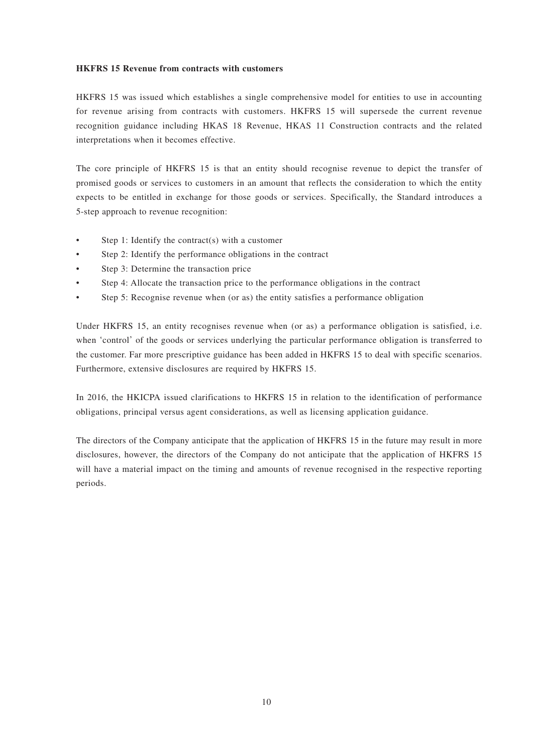#### **HKFRS 15 Revenue from contracts with customers**

HKFRS 15 was issued which establishes a single comprehensive model for entities to use in accounting for revenue arising from contracts with customers. HKFRS 15 will supersede the current revenue recognition guidance including HKAS 18 Revenue, HKAS 11 Construction contracts and the related interpretations when it becomes effective.

The core principle of HKFRS 15 is that an entity should recognise revenue to depict the transfer of promised goods or services to customers in an amount that reflects the consideration to which the entity expects to be entitled in exchange for those goods or services. Specifically, the Standard introduces a 5-step approach to revenue recognition:

- Step 1: Identify the contract(s) with a customer
- Step 2: Identify the performance obligations in the contract
- Step 3: Determine the transaction price
- Step 4: Allocate the transaction price to the performance obligations in the contract
- Step 5: Recognise revenue when (or as) the entity satisfies a performance obligation

Under HKFRS 15, an entity recognises revenue when (or as) a performance obligation is satisfied, i.e. when 'control' of the goods or services underlying the particular performance obligation is transferred to the customer. Far more prescriptive guidance has been added in HKFRS 15 to deal with specific scenarios. Furthermore, extensive disclosures are required by HKFRS 15.

In 2016, the HKICPA issued clarifications to HKFRS 15 in relation to the identification of performance obligations, principal versus agent considerations, as well as licensing application guidance.

The directors of the Company anticipate that the application of HKFRS 15 in the future may result in more disclosures, however, the directors of the Company do not anticipate that the application of HKFRS 15 will have a material impact on the timing and amounts of revenue recognised in the respective reporting periods.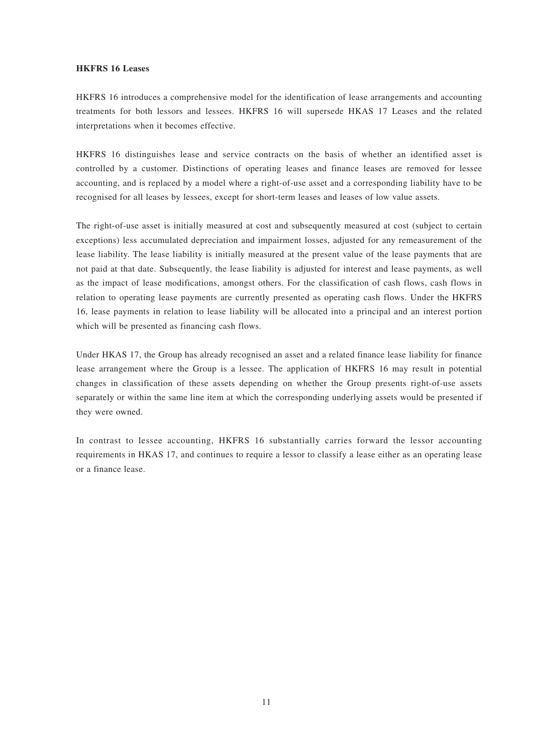#### **HKFRS 16 Leases**

HKFRS 16 introduces a comprehensive model for the identification of lease arrangements and accounting treatments for both lessors and lessees. HKFRS 16 will supersede HKAS 17 Leases and the related interpretations when it becomes effective.

HKFRS 16 distinguishes lease and service contracts on the basis of whether an identified asset is controlled by a customer. Distinctions of operating leases and finance leases are removed for lessee accounting, and is replaced by a model where a right-of-use asset and a corresponding liability have to be recognised for all leases by lessees, except for short-term leases and leases of low value assets.

The right-of-use asset is initially measured at cost and subsequently measured at cost (subject to certain exceptions) less accumulated depreciation and impairment losses, adjusted for any remeasurement of the lease liability. The lease liability is initially measured at the present value of the lease payments that are not paid at that date. Subsequently, the lease liability is adjusted for interest and lease payments, as well as the impact of lease modifications, amongst others. For the classification of cash flows, cash flows in relation to operating lease payments are currently presented as operating cash flows. Under the HKFRS 16, lease payments in relation to lease liability will be allocated into a principal and an interest portion which will be presented as financing cash flows.

Under HKAS 17, the Group has already recognised an asset and a related finance lease liability for finance lease arrangement where the Group is a lessee. The application of HKFRS 16 may result in potential changes in classification of these assets depending on whether the Group presents right-of-use assets separately or within the same line item at which the corresponding underlying assets would be presented if they were owned.

In contrast to lessee accounting, HKFRS 16 substantially carries forward the lessor accounting requirements in HKAS 17, and continues to require a lessor to classify a lease either as an operating lease or a finance lease.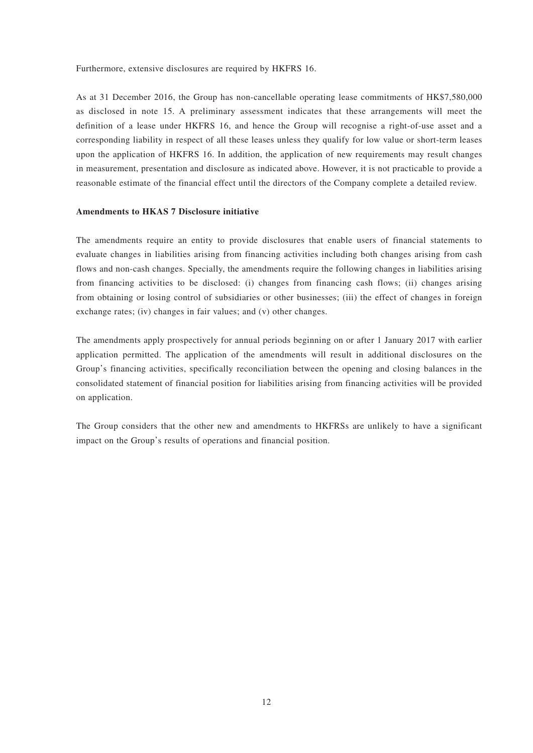Furthermore, extensive disclosures are required by HKFRS 16.

As at 31 December 2016, the Group has non-cancellable operating lease commitments of HK\$7,580,000 as disclosed in note 15. A preliminary assessment indicates that these arrangements will meet the definition of a lease under HKFRS 16, and hence the Group will recognise a right-of-use asset and a corresponding liability in respect of all these leases unless they qualify for low value or short-term leases upon the application of HKFRS 16. In addition, the application of new requirements may result changes in measurement, presentation and disclosure as indicated above. However, it is not practicable to provide a reasonable estimate of the financial effect until the directors of the Company complete a detailed review.

#### **Amendments to HKAS 7 Disclosure initiative**

The amendments require an entity to provide disclosures that enable users of financial statements to evaluate changes in liabilities arising from financing activities including both changes arising from cash flows and non-cash changes. Specially, the amendments require the following changes in liabilities arising from financing activities to be disclosed: (i) changes from financing cash flows; (ii) changes arising from obtaining or losing control of subsidiaries or other businesses; (iii) the effect of changes in foreign exchange rates; (iv) changes in fair values; and (v) other changes.

The amendments apply prospectively for annual periods beginning on or after 1 January 2017 with earlier application permitted. The application of the amendments will result in additional disclosures on the Group's financing activities, specifically reconciliation between the opening and closing balances in the consolidated statement of financial position for liabilities arising from financing activities will be provided on application.

The Group considers that the other new and amendments to HKFRSs are unlikely to have a significant impact on the Group's results of operations and financial position.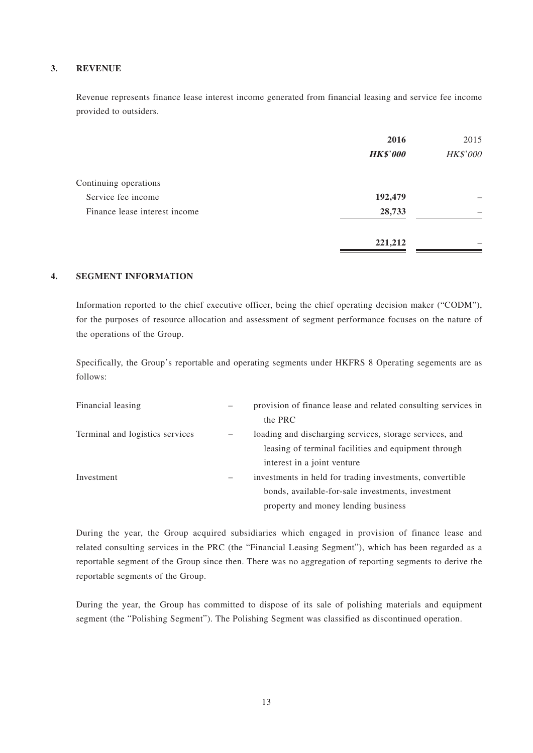#### **3. REVENUE**

Revenue represents finance lease interest income generated from financial leasing and service fee income provided to outsiders.

|                               | 2016<br><b>HK\$'000</b> | 2015<br>HK\$'000 |
|-------------------------------|-------------------------|------------------|
|                               |                         |                  |
| Continuing operations         |                         |                  |
| Service fee income            | 192,479                 |                  |
| Finance lease interest income | 28,733                  |                  |
|                               | 221,212                 |                  |

#### **4. SEGMENT INFORMATION**

Information reported to the chief executive officer, being the chief operating decision maker ("CODM"), for the purposes of resource allocation and assessment of segment performance focuses on the nature of the operations of the Group.

Specifically, the Group's reportable and operating segments under HKFRS 8 Operating segements are as follows:

| Financial leasing               | -                        | provision of finance lease and related consulting services in |
|---------------------------------|--------------------------|---------------------------------------------------------------|
|                                 |                          | the PRC                                                       |
| Terminal and logistics services | $\overline{\phantom{m}}$ | loading and discharging services, storage services, and       |
|                                 |                          | leasing of terminal facilities and equipment through          |
|                                 |                          | interest in a joint venture                                   |
| Investment                      | $\qquad \qquad -$        | investments in held for trading investments, convertible      |
|                                 |                          | bonds, available-for-sale investments, investment             |
|                                 |                          | property and money lending business                           |

During the year, the Group acquired subsidiaries which engaged in provision of finance lease and related consulting services in the PRC (the "Financial Leasing Segment"), which has been regarded as a reportable segment of the Group since then. There was no aggregation of reporting segments to derive the reportable segments of the Group.

During the year, the Group has committed to dispose of its sale of polishing materials and equipment segment (the "Polishing Segment"). The Polishing Segment was classified as discontinued operation.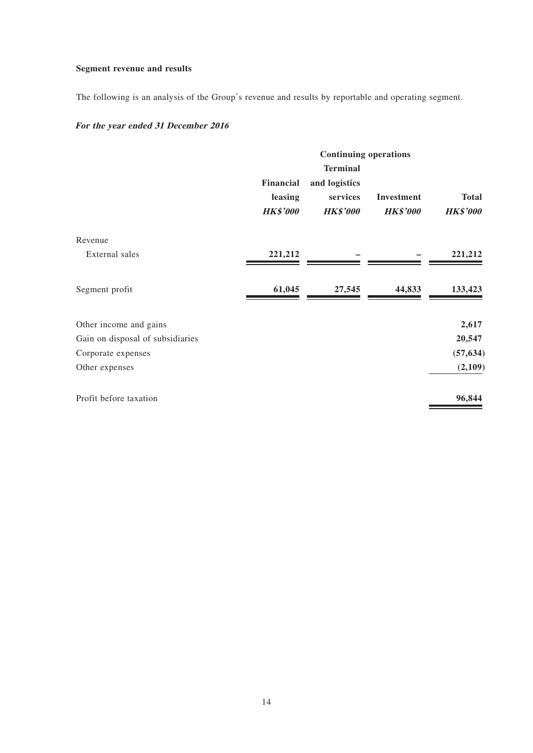## **Segment revenue and results**

The following is an analysis of the Group's revenue and results by reportable and operating segment.

## **For the year ended 31 December 2016**

|                                  | <b>Continuing operations</b>            |                                                                 |                                      |                                 |
|----------------------------------|-----------------------------------------|-----------------------------------------------------------------|--------------------------------------|---------------------------------|
|                                  | Financial<br>leasing<br><b>HK\$'000</b> | <b>Terminal</b><br>and logistics<br>services<br><b>HK\$'000</b> | <b>Investment</b><br><b>HK\$'000</b> | <b>Total</b><br><b>HK\$'000</b> |
| Revenue                          |                                         |                                                                 |                                      |                                 |
| External sales                   | 221,212                                 |                                                                 |                                      | 221,212                         |
| Segment profit                   | 61,045                                  | 27,545                                                          | 44,833                               | 133,423                         |
| Other income and gains           |                                         |                                                                 |                                      | 2,617                           |
| Gain on disposal of subsidiaries |                                         |                                                                 |                                      | 20,547                          |
| Corporate expenses               |                                         |                                                                 |                                      | (57, 634)                       |
| Other expenses                   |                                         |                                                                 |                                      | (2,109)                         |
| Profit before taxation           |                                         |                                                                 |                                      | 96,844                          |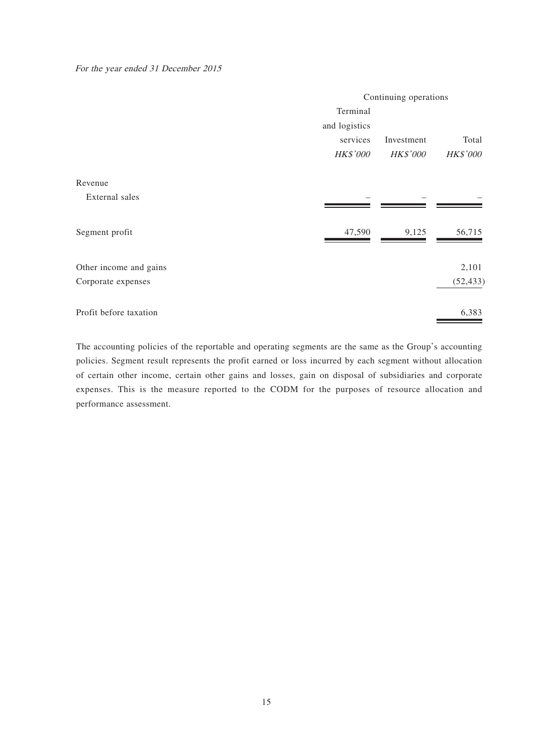For the year ended 31 December 2015

|                        | Continuing operations |                 |                 |
|------------------------|-----------------------|-----------------|-----------------|
|                        | Terminal              |                 |                 |
|                        | and logistics         |                 |                 |
|                        | services              | Investment      | Total           |
|                        | <b>HK\$'000</b>       | <b>HK\$'000</b> | <b>HK\$'000</b> |
| Revenue                |                       |                 |                 |
| External sales         |                       |                 |                 |
| Segment profit         | 47,590                | 9,125           | 56,715          |
| Other income and gains |                       |                 | 2,101           |
| Corporate expenses     |                       |                 | (52, 433)       |
| Profit before taxation |                       |                 | 6,383           |

The accounting policies of the reportable and operating segments are the same as the Group's accounting policies. Segment result represents the profit earned or loss incurred by each segment without allocation of certain other income, certain other gains and losses, gain on disposal of subsidiaries and corporate expenses. This is the measure reported to the CODM for the purposes of resource allocation and performance assessment.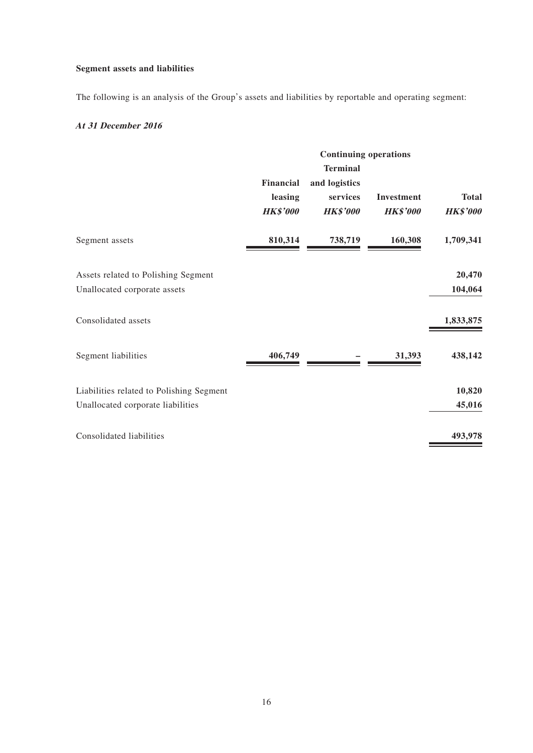## **Segment assets and liabilities**

The following is an analysis of the Group's assets and liabilities by reportable and operating segment:

### **At 31 December 2016**

|                                          | <b>Continuing operations</b>                   |                                                                 |                                      |                                 |
|------------------------------------------|------------------------------------------------|-----------------------------------------------------------------|--------------------------------------|---------------------------------|
|                                          | <b>Financial</b><br>leasing<br><b>HK\$'000</b> | <b>Terminal</b><br>and logistics<br>services<br><b>HK\$'000</b> | <b>Investment</b><br><b>HK\$'000</b> | <b>Total</b><br><b>HK\$'000</b> |
| Segment assets                           | 810,314                                        | 738,719                                                         | 160,308                              | 1,709,341                       |
| Assets related to Polishing Segment      |                                                |                                                                 |                                      | 20,470                          |
| Unallocated corporate assets             |                                                |                                                                 |                                      | 104,064                         |
| Consolidated assets                      |                                                |                                                                 |                                      | 1,833,875                       |
| Segment liabilities                      | 406,749                                        |                                                                 | 31,393                               | 438,142                         |
| Liabilities related to Polishing Segment |                                                |                                                                 |                                      | 10,820                          |
| Unallocated corporate liabilities        |                                                |                                                                 |                                      | 45,016                          |
| Consolidated liabilities                 |                                                |                                                                 |                                      | 493,978                         |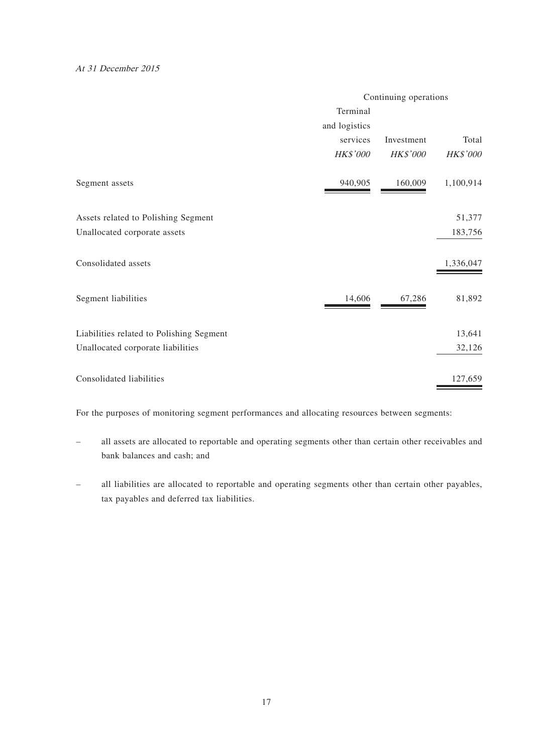#### At 31 December 2015

|                                          | Continuing operations |            |           |
|------------------------------------------|-----------------------|------------|-----------|
|                                          | Terminal              |            |           |
|                                          | and logistics         |            |           |
|                                          | services              | Investment | Total     |
|                                          | HK\$'000              | HK\$'000   | HK\$'000  |
| Segment assets                           | 940,905               | 160,009    | 1,100,914 |
| Assets related to Polishing Segment      |                       |            | 51,377    |
| Unallocated corporate assets             |                       |            | 183,756   |
| Consolidated assets                      |                       |            | 1,336,047 |
| Segment liabilities                      | 14,606                | 67,286     | 81,892    |
| Liabilities related to Polishing Segment |                       |            | 13,641    |
| Unallocated corporate liabilities        |                       |            | 32,126    |
| Consolidated liabilities                 |                       |            | 127,659   |

For the purposes of monitoring segment performances and allocating resources between segments:

- all assets are allocated to reportable and operating segments other than certain other receivables and bank balances and cash; and
- all liabilities are allocated to reportable and operating segments other than certain other payables, tax payables and deferred tax liabilities.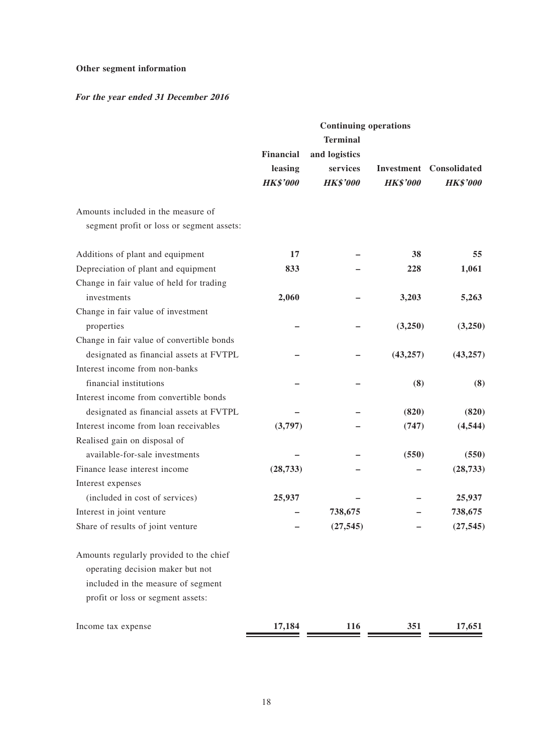## **Other segment information**

## **For the year ended 31 December 2016**

|                                           | <b>Continuing operations</b> |                 |                 |                                |
|-------------------------------------------|------------------------------|-----------------|-----------------|--------------------------------|
|                                           |                              | <b>Terminal</b> |                 |                                |
|                                           | Financial                    | and logistics   |                 |                                |
|                                           | leasing                      | services        |                 | <b>Investment</b> Consolidated |
|                                           | <b>HK\$'000</b>              | <b>HK\$'000</b> | <b>HK\$'000</b> | <b>HK\$'000</b>                |
| Amounts included in the measure of        |                              |                 |                 |                                |
| segment profit or loss or segment assets: |                              |                 |                 |                                |
| Additions of plant and equipment          | 17                           |                 | 38              | 55                             |
| Depreciation of plant and equipment       | 833                          |                 | 228             | 1,061                          |
| Change in fair value of held for trading  |                              |                 |                 |                                |
| investments                               | 2,060                        |                 | 3,203           | 5,263                          |
| Change in fair value of investment        |                              |                 |                 |                                |
| properties                                |                              |                 | (3,250)         | (3,250)                        |
| Change in fair value of convertible bonds |                              |                 |                 |                                |
| designated as financial assets at FVTPL   |                              |                 | (43, 257)       | (43, 257)                      |
| Interest income from non-banks            |                              |                 |                 |                                |
| financial institutions                    |                              |                 | (8)             | (8)                            |
| Interest income from convertible bonds    |                              |                 |                 |                                |
| designated as financial assets at FVTPL   |                              |                 | (820)           | (820)                          |
| Interest income from loan receivables     | (3,797)                      |                 | (747)           | (4, 544)                       |
| Realised gain on disposal of              |                              |                 |                 |                                |
| available-for-sale investments            |                              |                 | (550)           | (550)                          |
| Finance lease interest income             | (28, 733)                    |                 |                 | (28, 733)                      |
| Interest expenses                         |                              |                 |                 |                                |
| (included in cost of services)            | 25,937                       |                 |                 | 25,937                         |
| Interest in joint venture                 |                              | 738,675         |                 | 738,675                        |
| Share of results of joint venture         |                              | (27, 545)       |                 | (27, 545)                      |
| Amounts regularly provided to the chief   |                              |                 |                 |                                |
| operating decision maker but not          |                              |                 |                 |                                |
| included in the measure of segment        |                              |                 |                 |                                |
| profit or loss or segment assets:         |                              |                 |                 |                                |
| Income tax expense                        | 17,184                       | <b>116</b>      | 351             | 17,651                         |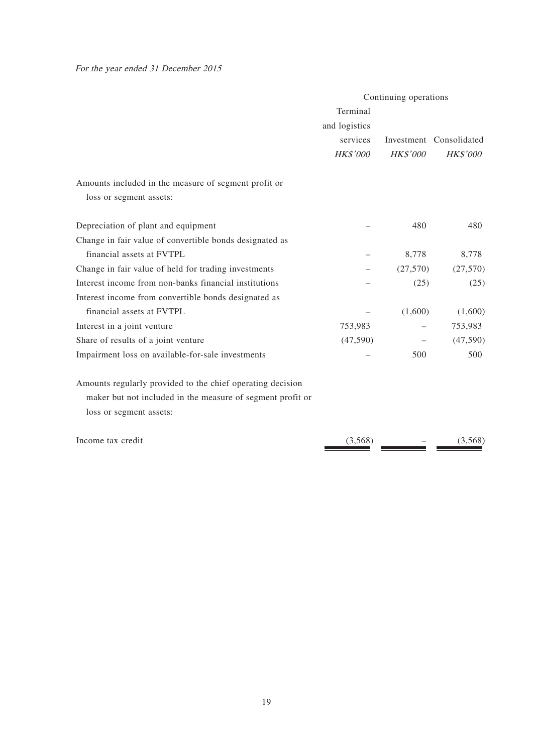For the year ended 31 December 2015

|                                                            | Continuing operations |                 |                         |
|------------------------------------------------------------|-----------------------|-----------------|-------------------------|
|                                                            | Terminal              |                 |                         |
|                                                            | and logistics         |                 |                         |
|                                                            | services              |                 | Investment Consolidated |
|                                                            | HK\$'000              | <b>HK\$'000</b> | <b>HK\$'000</b>         |
| Amounts included in the measure of segment profit or       |                       |                 |                         |
| loss or segment assets:                                    |                       |                 |                         |
| Depreciation of plant and equipment                        |                       | 480             | 480                     |
| Change in fair value of convertible bonds designated as    |                       |                 |                         |
| financial assets at FVTPL                                  |                       | 8,778           | 8,778                   |
| Change in fair value of held for trading investments       |                       | (27,570)        | (27,570)                |
| Interest income from non-banks financial institutions      |                       | (25)            | (25)                    |
| Interest income from convertible bonds designated as       |                       |                 |                         |
| financial assets at FVTPL                                  |                       | (1,600)         | (1,600)                 |
| Interest in a joint venture                                | 753,983               |                 | 753,983                 |
| Share of results of a joint venture                        | (47,590)              |                 | (47, 590)               |
| Impairment loss on available-for-sale investments          |                       | 500             | 500                     |
| Amounts regularly provided to the chief operating decision |                       |                 |                         |
| maker but not included in the measure of segment profit or |                       |                 |                         |
| loss or segment assets:                                    |                       |                 |                         |
| Income tax credit                                          | (3,568)               |                 | (3,568)                 |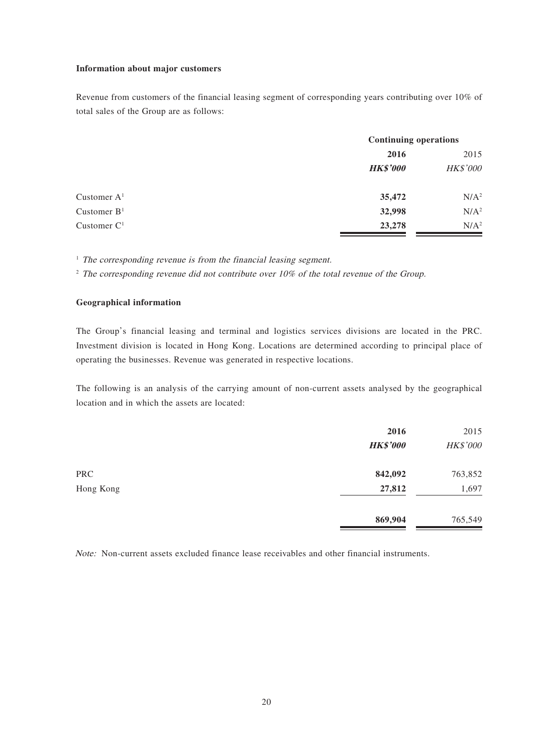#### **Information about major customers**

Revenue from customers of the financial leasing segment of corresponding years contributing over 10% of total sales of the Group are as follows:

|               |                 | <b>Continuing operations</b> |  |
|---------------|-----------------|------------------------------|--|
|               | 2016            | 2015                         |  |
|               | <b>HK\$'000</b> | HK\$'000                     |  |
| Customer $A1$ | 35,472          | N/A <sup>2</sup>             |  |
| Customer $B1$ | 32,998          | N/A <sup>2</sup>             |  |
| Customer $C1$ | 23,278          | N/A <sup>2</sup>             |  |

 $<sup>1</sup>$  The corresponding revenue is from the financial leasing segment.</sup>

 $2$  The corresponding revenue did not contribute over 10% of the total revenue of the Group.

#### **Geographical information**

The Group's financial leasing and terminal and logistics services divisions are located in the PRC. Investment division is located in Hong Kong. Locations are determined according to principal place of operating the businesses. Revenue was generated in respective locations.

The following is an analysis of the carrying amount of non-current assets analysed by the geographical location and in which the assets are located:

|            | 2016<br><b>HK\$'000</b> | 2015<br>HK\$'000 |
|------------|-------------------------|------------------|
| <b>PRC</b> | 842,092                 | 763,852          |
| Hong Kong  | 27,812                  | 1,697            |
|            | 869,904                 | 765,549          |

Note: Non-current assets excluded finance lease receivables and other financial instruments.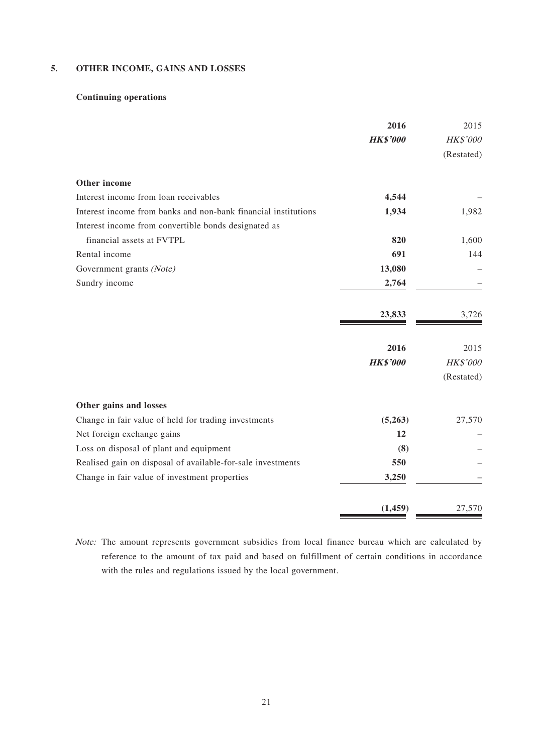#### **5. OTHER INCOME, GAINS AND LOSSES**

### **Continuing operations**

|                                                                | 2016            | 2015       |
|----------------------------------------------------------------|-----------------|------------|
|                                                                | <b>HK\$'000</b> | HK\$'000   |
|                                                                |                 | (Restated) |
| Other income                                                   |                 |            |
| Interest income from loan receivables                          | 4,544           |            |
| Interest income from banks and non-bank financial institutions | 1,934           | 1,982      |
| Interest income from convertible bonds designated as           |                 |            |
| financial assets at FVTPL                                      | 820             | 1,600      |
| Rental income                                                  | 691             | 144        |
| Government grants (Note)                                       | 13,080          |            |
| Sundry income                                                  | 2,764           |            |
|                                                                | 23,833          | 3,726      |
|                                                                | 2016            | 2015       |
|                                                                | <b>HK\$'000</b> | HK\$'000   |
|                                                                |                 | (Restated) |
| Other gains and losses                                         |                 |            |
| Change in fair value of held for trading investments           | (5,263)         | 27,570     |
| Net foreign exchange gains                                     | 12              |            |
| Loss on disposal of plant and equipment                        | (8)             |            |
| Realised gain on disposal of available-for-sale investments    | 550             |            |
| Change in fair value of investment properties                  | 3,250           |            |
|                                                                | (1, 459)        | 27,570     |

Note: The amount represents government subsidies from local finance bureau which are calculated by reference to the amount of tax paid and based on fulfillment of certain conditions in accordance with the rules and regulations issued by the local government.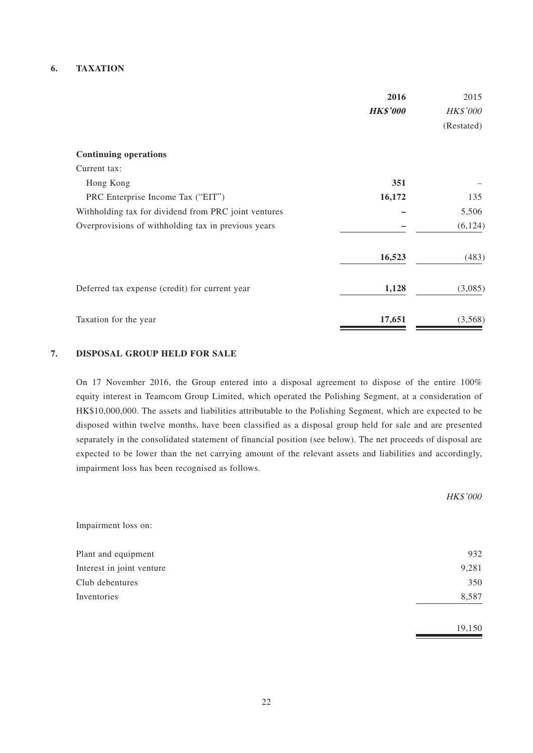#### **6. TAXATION**

|                                                      | 2016            | 2015            |
|------------------------------------------------------|-----------------|-----------------|
|                                                      | <b>HK\$'000</b> | <b>HK\$'000</b> |
|                                                      |                 | (Restated)      |
| <b>Continuing operations</b>                         |                 |                 |
| Current tax:                                         |                 |                 |
| Hong Kong                                            | 351             |                 |
| PRC Enterprise Income Tax ("EIT")                    | 16,172          | 135             |
| Withholding tax for dividend from PRC joint ventures |                 | 5,506           |
| Overprovisions of withholding tax in previous years  |                 | (6, 124)        |
|                                                      | 16,523          | (483)           |
| Deferred tax expense (credit) for current year       | 1,128           | (3,085)         |
| Taxation for the year                                | 17,651          | (3,568)         |

#### **7. DISPOSAL GROUP HELD FOR SALE**

On 17 November 2016, the Group entered into a disposal agreement to dispose of the entire 100% equity interest in Teamcom Group Limited, which operated the Polishing Segment, at a consideration of HK\$10,000,000. The assets and liabilities attributable to the Polishing Segment, which are expected to be disposed within twelve months, have been classified as a disposal group held for sale and are presented separately in the consolidated statement of financial position (see below). The net proceeds of disposal are expected to be lower than the net carrying amount of the relevant assets and liabilities and accordingly, impairment loss has been recognised as follows.

|                           | HK\$'000 |
|---------------------------|----------|
| Impairment loss on:       |          |
| Plant and equipment       | 932      |
| Interest in joint venture | 9,281    |
| Club debentures           | 350      |
| Inventories               | 8,587    |
|                           | 19,150   |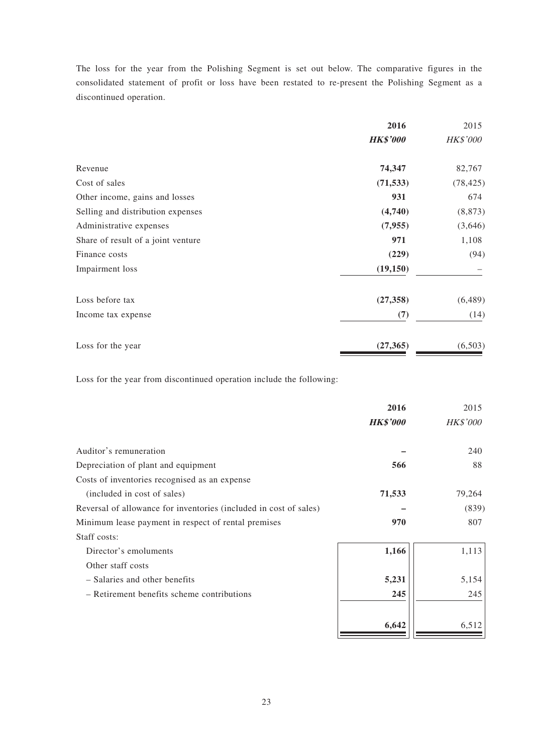The loss for the year from the Polishing Segment is set out below. The comparative figures in the consolidated statement of profit or loss have been restated to re-present the Polishing Segment as a discontinued operation.

|                                    | 2016            | 2015      |
|------------------------------------|-----------------|-----------|
|                                    | <b>HK\$'000</b> | HK\$'000  |
| Revenue                            | 74,347          | 82,767    |
| Cost of sales                      | (71, 533)       | (78, 425) |
| Other income, gains and losses     | 931             | 674       |
| Selling and distribution expenses  | (4,740)         | (8, 873)  |
| Administrative expenses            | (7, 955)        | (3,646)   |
| Share of result of a joint venture | 971             | 1,108     |
| Finance costs                      | (229)           | (94)      |
| Impairment loss                    | (19, 150)       |           |
| Loss before tax                    | (27, 358)       | (6, 489)  |
| Income tax expense                 | (7)             | (14)      |
| Loss for the year                  | (27, 365)       | (6,503)   |

Loss for the year from discontinued operation include the following:

|                                                                   | 2016            | 2015            |
|-------------------------------------------------------------------|-----------------|-----------------|
|                                                                   | <b>HK\$'000</b> | <b>HK\$'000</b> |
| Auditor's remuneration                                            |                 | 240             |
| Depreciation of plant and equipment                               | 566             | 88              |
| Costs of inventories recognised as an expense                     |                 |                 |
| (included in cost of sales)                                       | 71,533          | 79,264          |
| Reversal of allowance for inventories (included in cost of sales) |                 | (839)           |
| Minimum lease payment in respect of rental premises               | 970             | 807             |
| Staff costs:                                                      |                 |                 |
| Director's emoluments                                             | 1,166           | 1,113           |
| Other staff costs                                                 |                 |                 |
| - Salaries and other benefits                                     | 5,231           | 5,154           |
| - Retirement benefits scheme contributions                        | 245             | 245             |
|                                                                   | 6,642           | 6,512           |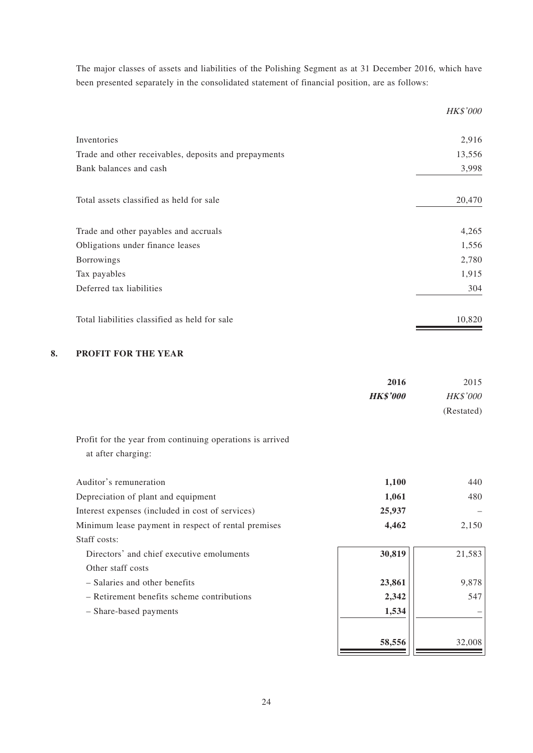The major classes of assets and liabilities of the Polishing Segment as at 31 December 2016, which have been presented separately in the consolidated statement of financial position, are as follows:

|                                                       | HK\$'000 |
|-------------------------------------------------------|----------|
| Inventories                                           | 2,916    |
| Trade and other receivables, deposits and prepayments | 13,556   |
| Bank balances and cash                                | 3,998    |
| Total assets classified as held for sale              | 20,470   |
| Trade and other payables and accruals                 | 4,265    |
| Obligations under finance leases                      | 1,556    |
| <b>Borrowings</b>                                     | 2,780    |
| Tax payables                                          | 1,915    |
| Deferred tax liabilities                              | 304      |
| Total liabilities classified as held for sale         | 10,820   |

### **8. PROFIT FOR THE YEAR**

|                                                           | 2016            | 2015            |
|-----------------------------------------------------------|-----------------|-----------------|
|                                                           | <b>HK\$'000</b> | <b>HK\$'000</b> |
|                                                           |                 | (Restated)      |
| Profit for the year from continuing operations is arrived |                 |                 |
| at after charging:                                        |                 |                 |
| Auditor's remuneration                                    | 1,100           | 440             |
| Depreciation of plant and equipment                       | 1,061           | 480             |
| Interest expenses (included in cost of services)          | 25,937          |                 |
| Minimum lease payment in respect of rental premises       | 4,462           | 2,150           |
| Staff costs:                                              |                 |                 |
| Directors' and chief executive emoluments                 | 30,819          | 21,583          |
| Other staff costs                                         |                 |                 |
| - Salaries and other benefits                             | 23,861          | 9,878           |
| - Retirement benefits scheme contributions                | 2,342           | 547             |
| - Share-based payments                                    | 1,534           |                 |
|                                                           | 58,556          | 32,008          |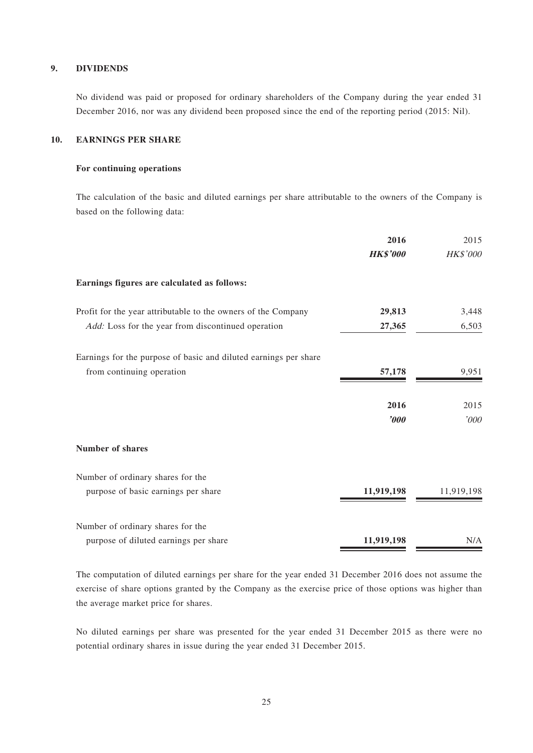#### **9. DIVIDENDS**

No dividend was paid or proposed for ordinary shareholders of the Company during the year ended 31 December 2016, nor was any dividend been proposed since the end of the reporting period (2015: Nil).

#### **10. EARNINGS PER SHARE**

#### **For continuing operations**

The calculation of the basic and diluted earnings per share attributable to the owners of the Company is based on the following data:

|                                                                  | 2016                  | 2015       |
|------------------------------------------------------------------|-----------------------|------------|
|                                                                  | <b>HK\$'000</b>       | HK\$'000   |
| Earnings figures are calculated as follows:                      |                       |            |
| Profit for the year attributable to the owners of the Company    | 29,813                | 3,448      |
| Add: Loss for the year from discontinued operation               | 27,365                | 6,503      |
| Earnings for the purpose of basic and diluted earnings per share |                       |            |
| from continuing operation                                        | 57,178                | 9,951      |
|                                                                  | 2016                  | 2015       |
|                                                                  | $\boldsymbol{\delta}$ | '000       |
| <b>Number of shares</b>                                          |                       |            |
| Number of ordinary shares for the                                |                       |            |
| purpose of basic earnings per share                              | 11,919,198            | 11,919,198 |
| Number of ordinary shares for the                                |                       |            |
| purpose of diluted earnings per share                            | 11,919,198            | N/A        |

The computation of diluted earnings per share for the year ended 31 December 2016 does not assume the exercise of share options granted by the Company as the exercise price of those options was higher than the average market price for shares.

No diluted earnings per share was presented for the year ended 31 December 2015 as there were no potential ordinary shares in issue during the year ended 31 December 2015.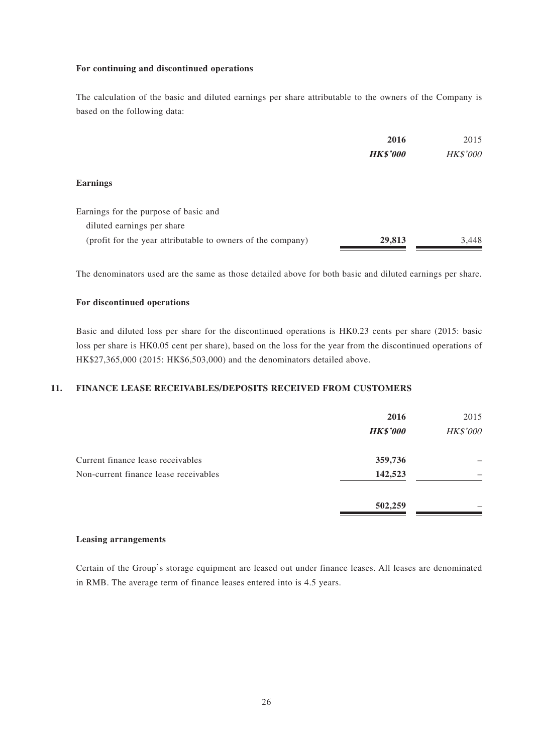#### **For continuing and discontinued operations**

The calculation of the basic and diluted earnings per share attributable to the owners of the Company is based on the following data:

|                                                             | 2016            | 2015     |
|-------------------------------------------------------------|-----------------|----------|
|                                                             | <b>HK\$'000</b> | HK\$'000 |
| <b>Earnings</b>                                             |                 |          |
| Earnings for the purpose of basic and                       |                 |          |
| diluted earnings per share                                  |                 |          |
| (profit for the year attributable to owners of the company) | 29,813          | 3,448    |

The denominators used are the same as those detailed above for both basic and diluted earnings per share.

#### **For discontinued operations**

Basic and diluted loss per share for the discontinued operations is HK0.23 cents per share (2015: basic loss per share is HK0.05 cent per share), based on the loss for the year from the discontinued operations of HK\$27,365,000 (2015: HK\$6,503,000) and the denominators detailed above.

#### **11. FINANCE LEASE RECEIVABLES/DEPOSITS RECEIVED FROM CUSTOMERS**

|                                       | 2016<br><b>HK\$'000</b> | 2015<br>HK\$'000 |
|---------------------------------------|-------------------------|------------------|
| Current finance lease receivables     | 359,736                 |                  |
| Non-current finance lease receivables | 142,523                 |                  |
|                                       | 502,259                 |                  |

#### **Leasing arrangements**

Certain of the Group's storage equipment are leased out under finance leases. All leases are denominated in RMB. The average term of finance leases entered into is 4.5 years.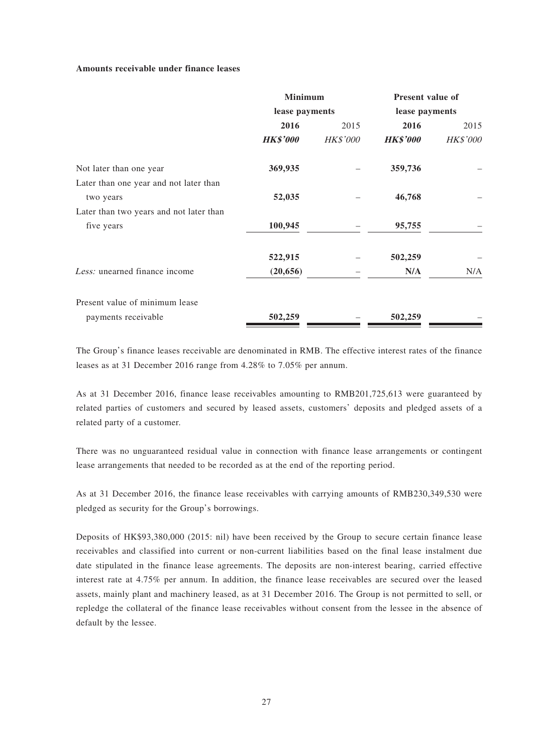#### **Amounts receivable under finance leases**

|                                         | <b>Minimum</b>  |                 | Present value of |                 |
|-----------------------------------------|-----------------|-----------------|------------------|-----------------|
|                                         | lease payments  |                 | lease payments   |                 |
|                                         | 2016            | 2015            | 2016             | 2015            |
|                                         | <b>HK\$'000</b> | <b>HK\$'000</b> | <b>HK\$'000</b>  | <b>HK\$'000</b> |
| Not later than one year                 | 369,935         |                 | 359,736          |                 |
| Later than one year and not later than  |                 |                 |                  |                 |
| two years                               | 52,035          |                 | 46,768           |                 |
| Later than two years and not later than |                 |                 |                  |                 |
| five years                              | 100,945         |                 | 95,755           |                 |
|                                         | 522,915         |                 | 502,259          |                 |
| Less: unearned finance income           | (20, 656)       |                 | N/A              | N/A             |
| Present value of minimum lease          |                 |                 |                  |                 |
| payments receivable                     | 502,259         |                 | 502,259          |                 |

The Group's finance leases receivable are denominated in RMB. The effective interest rates of the finance leases as at 31 December 2016 range from 4.28% to 7.05% per annum.

As at 31 December 2016, finance lease receivables amounting to RMB201,725,613 were guaranteed by related parties of customers and secured by leased assets, customers' deposits and pledged assets of a related party of a customer.

There was no unguaranteed residual value in connection with finance lease arrangements or contingent lease arrangements that needed to be recorded as at the end of the reporting period.

As at 31 December 2016, the finance lease receivables with carrying amounts of RMB230,349,530 were pledged as security for the Group's borrowings.

Deposits of HK\$93,380,000 (2015: nil) have been received by the Group to secure certain finance lease receivables and classified into current or non-current liabilities based on the final lease instalment due date stipulated in the finance lease agreements. The deposits are non-interest bearing, carried effective interest rate at 4.75% per annum. In addition, the finance lease receivables are secured over the leased assets, mainly plant and machinery leased, as at 31 December 2016. The Group is not permitted to sell, or repledge the collateral of the finance lease receivables without consent from the lessee in the absence of default by the lessee.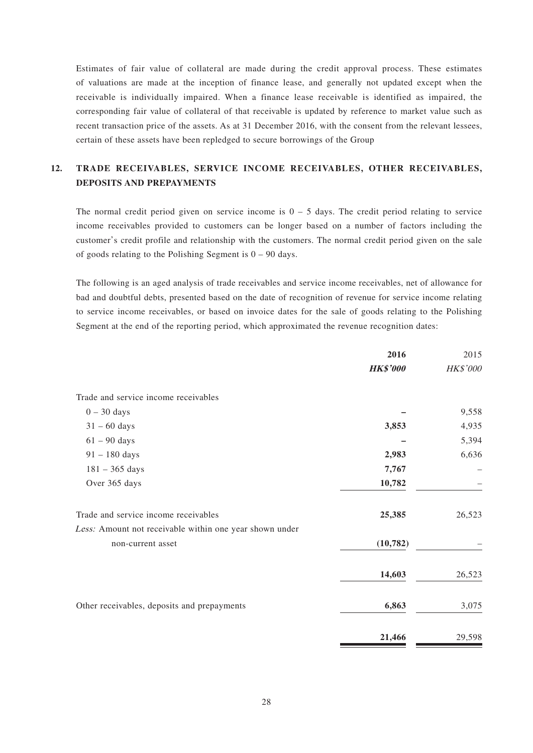Estimates of fair value of collateral are made during the credit approval process. These estimates of valuations are made at the inception of finance lease, and generally not updated except when the receivable is individually impaired. When a finance lease receivable is identified as impaired, the corresponding fair value of collateral of that receivable is updated by reference to market value such as recent transaction price of the assets. As at 31 December 2016, with the consent from the relevant lessees, certain of these assets have been repledged to secure borrowings of the Group

### **12. TRADE RECEIVABLES, SERVICE INCOME RECEIVABLES, OTHER RECEIVABLES, DEPOSITS AND PREPAYMENTS**

The normal credit period given on service income is  $0 - 5$  days. The credit period relating to service income receivables provided to customers can be longer based on a number of factors including the customer's credit profile and relationship with the customers. The normal credit period given on the sale of goods relating to the Polishing Segment is  $0 - 90$  days.

The following is an aged analysis of trade receivables and service income receivables, net of allowance for bad and doubtful debts, presented based on the date of recognition of revenue for service income relating to service income receivables, or based on invoice dates for the sale of goods relating to the Polishing Segment at the end of the reporting period, which approximated the revenue recognition dates:

|                                                         | 2016            | 2015     |
|---------------------------------------------------------|-----------------|----------|
|                                                         | <b>HK\$'000</b> | HK\$'000 |
| Trade and service income receivables                    |                 |          |
| $0 - 30$ days                                           |                 | 9,558    |
| $31 - 60$ days                                          | 3,853           | 4,935    |
| $61 - 90$ days                                          |                 | 5,394    |
| $91 - 180$ days                                         | 2,983           | 6,636    |
| $181 - 365$ days                                        | 7,767           |          |
| Over 365 days                                           | 10,782          |          |
| Trade and service income receivables                    | 25,385          | 26,523   |
| Less: Amount not receivable within one year shown under |                 |          |
| non-current asset                                       | (10, 782)       |          |
|                                                         | 14,603          | 26,523   |
| Other receivables, deposits and prepayments             | 6,863           | 3,075    |
|                                                         | 21,466          | 29,598   |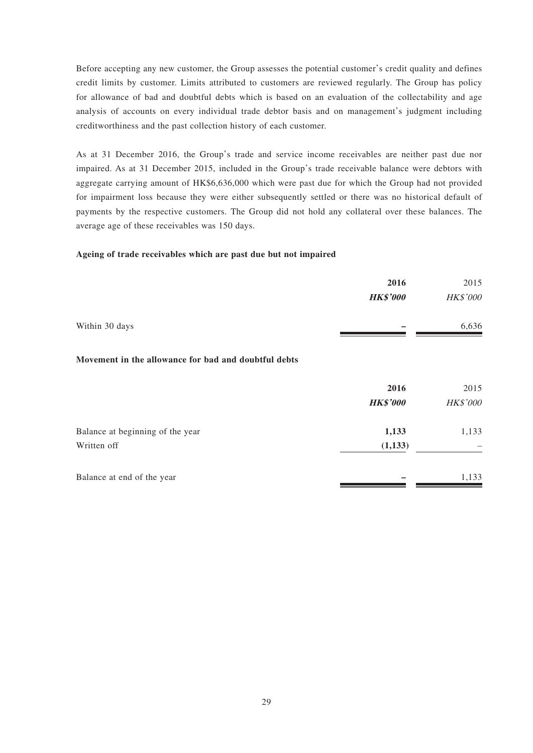Before accepting any new customer, the Group assesses the potential customer's credit quality and defines credit limits by customer. Limits attributed to customers are reviewed regularly. The Group has policy for allowance of bad and doubtful debts which is based on an evaluation of the collectability and age analysis of accounts on every individual trade debtor basis and on management's judgment including creditworthiness and the past collection history of each customer.

As at 31 December 2016, the Group's trade and service income receivables are neither past due nor impaired. As at 31 December 2015, included in the Group's trade receivable balance were debtors with aggregate carrying amount of HK\$6,636,000 which were past due for which the Group had not provided for impairment loss because they were either subsequently settled or there was no historical default of payments by the respective customers. The Group did not hold any collateral over these balances. The average age of these receivables was 150 days.

#### **Ageing of trade receivables which are past due but not impaired**

|                                                      | 2016            | 2015     |
|------------------------------------------------------|-----------------|----------|
|                                                      | <b>HK\$'000</b> | HK\$'000 |
| Within 30 days                                       |                 | 6,636    |
| Movement in the allowance for bad and doubtful debts |                 |          |
|                                                      | 2016            | 2015     |
|                                                      | <b>HK\$'000</b> | HK\$'000 |
| Balance at beginning of the year                     | 1,133           | 1,133    |
| Written off                                          | (1, 133)        |          |
| Balance at end of the year                           |                 | 1,133    |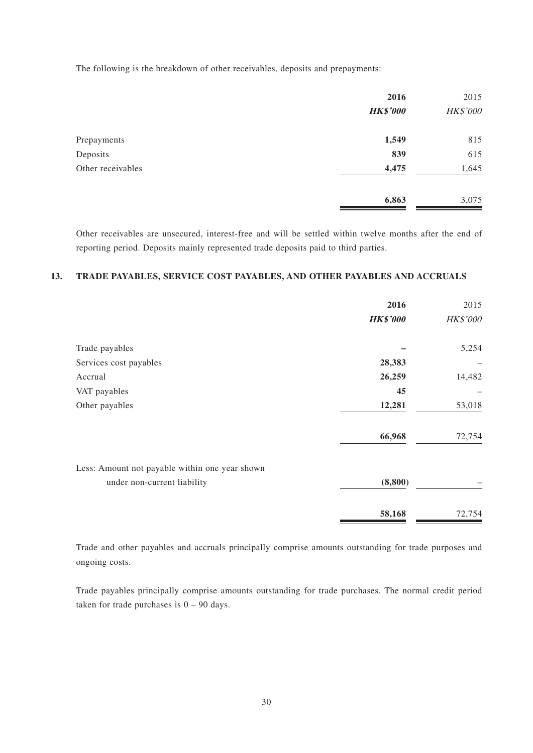The following is the breakdown of other receivables, deposits and prepayments:

| 2016            | 2015     |
|-----------------|----------|
| <b>HK\$'000</b> | HK\$'000 |
| 1,549           | 815      |
| 839             | 615      |
| 4,475           | 1,645    |
| 6,863           | 3,075    |
|                 |          |

Other receivables are unsecured, interest-free and will be settled within twelve months after the end of reporting period. Deposits mainly represented trade deposits paid to third parties.

#### **13. TRADE PAYABLES, SERVICE COST PAYABLES, AND OTHER PAYABLES AND ACCRUALS**

|                                                | 2016            | 2015     |
|------------------------------------------------|-----------------|----------|
|                                                | <b>HK\$'000</b> | HK\$'000 |
| Trade payables                                 |                 | 5,254    |
| Services cost payables                         | 28,383          |          |
| Accrual                                        | 26,259          | 14,482   |
| VAT payables                                   | 45              |          |
| Other payables                                 | 12,281          | 53,018   |
|                                                | 66,968          | 72,754   |
| Less: Amount not payable within one year shown |                 |          |
| under non-current liability                    | (8, 800)        |          |
|                                                | 58,168          | 72,754   |

Trade and other payables and accruals principally comprise amounts outstanding for trade purposes and ongoing costs.

Trade payables principally comprise amounts outstanding for trade purchases. The normal credit period taken for trade purchases is  $0 - 90$  days.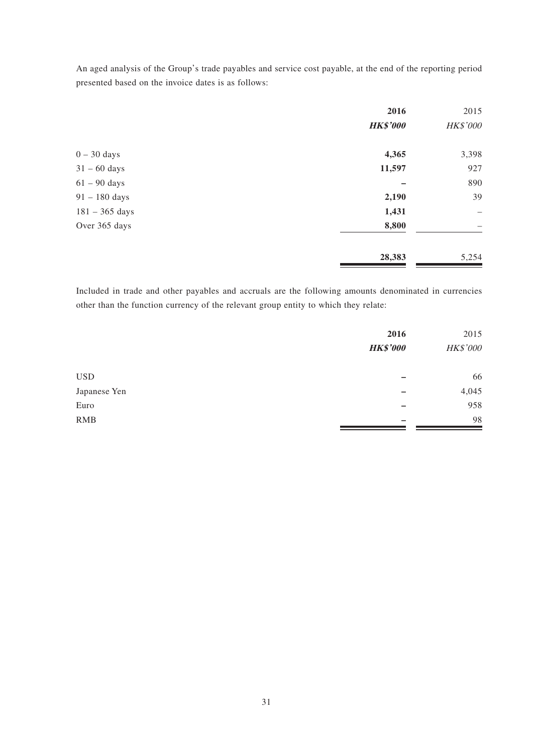An aged analysis of the Group's trade payables and service cost payable, at the end of the reporting period presented based on the invoice dates is as follows:

|                  | 2016            | 2015                     |
|------------------|-----------------|--------------------------|
|                  | <b>HK\$'000</b> | HK\$'000                 |
| $0 - 30$ days    | 4,365           | 3,398                    |
| $31 - 60$ days   | 11,597          | 927                      |
| $61 - 90$ days   |                 | 890                      |
| $91 - 180$ days  | 2,190           | 39                       |
| $181 - 365$ days | 1,431           | $\overline{\phantom{0}}$ |
| Over 365 days    | 8,800           |                          |
|                  | 28,383          | 5,254                    |

Included in trade and other payables and accruals are the following amounts denominated in currencies other than the function currency of the relevant group entity to which they relate:

|              | 2016            | 2015     |
|--------------|-----------------|----------|
|              | <b>HK\$'000</b> | HK\$'000 |
| <b>USD</b>   |                 | 66       |
| Japanese Yen | -               | 4,045    |
| Euro         |                 | 958      |
| <b>RMB</b>   | -               | 98       |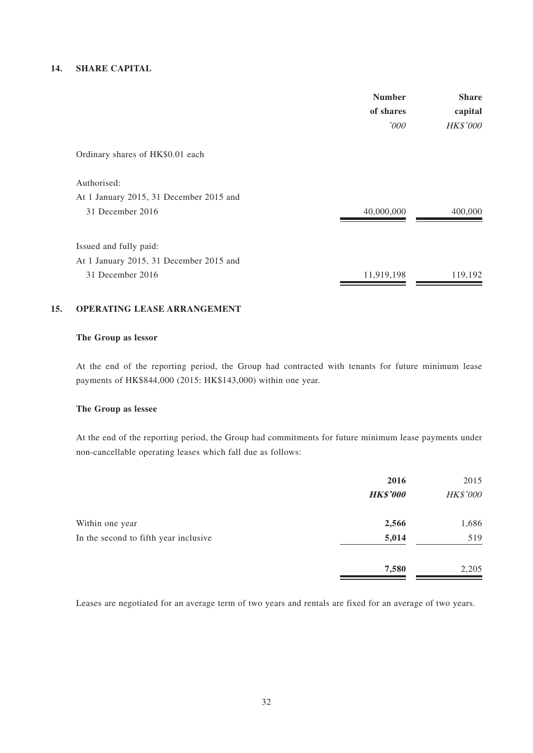#### **14. SHARE CAPITAL**

|                                         | <b>Number</b><br>of shares<br>'000 | <b>Share</b><br>capital<br>HK\$'000 |
|-----------------------------------------|------------------------------------|-------------------------------------|
| Ordinary shares of HK\$0.01 each        |                                    |                                     |
| Authorised:                             |                                    |                                     |
| At 1 January 2015, 31 December 2015 and |                                    |                                     |
| 31 December 2016                        | 40,000,000                         | 400,000                             |
| Issued and fully paid:                  |                                    |                                     |
| At 1 January 2015, 31 December 2015 and |                                    |                                     |
| 31 December 2016                        | 11,919,198                         | 119,192                             |

#### **15. OPERATING LEASE ARRANGEMENT**

#### **The Group as lessor**

At the end of the reporting period, the Group had contracted with tenants for future minimum lease payments of HK\$844,000 (2015: HK\$143,000) within one year.

#### **The Group as lessee**

At the end of the reporting period, the Group had commitments for future minimum lease payments under non-cancellable operating leases which fall due as follows:

|                                       | 2016<br><b>HK\$'000</b> | 2015<br>HK\$'000 |
|---------------------------------------|-------------------------|------------------|
| Within one year                       | 2,566                   | 1,686            |
| In the second to fifth year inclusive | 5,014                   | 519              |
|                                       | 7,580                   | 2,205            |

Leases are negotiated for an average term of two years and rentals are fixed for an average of two years.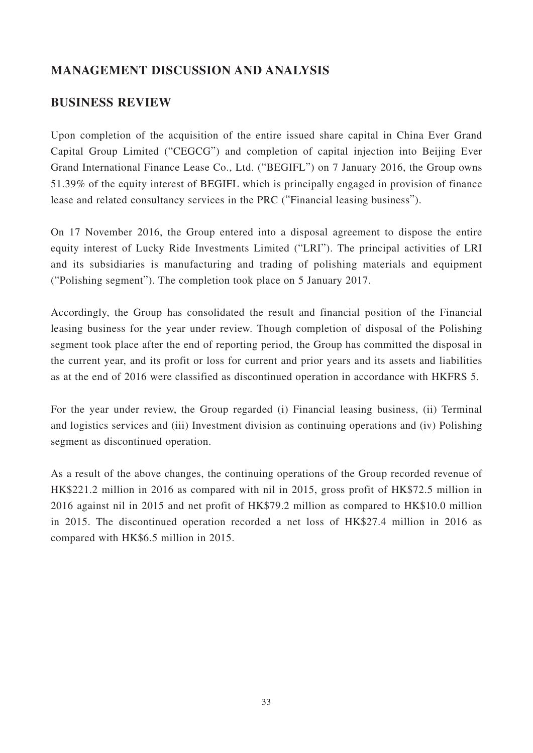## **MANAGEMENT DISCUSSION AND ANALYSIS**

## **BUSINESS REVIEW**

Upon completion of the acquisition of the entire issued share capital in China Ever Grand Capital Group Limited ("CEGCG") and completion of capital injection into Beijing Ever Grand International Finance Lease Co., Ltd. ("BEGIFL") on 7 January 2016, the Group owns 51.39% of the equity interest of BEGIFL which is principally engaged in provision of finance lease and related consultancy services in the PRC ("Financial leasing business").

On 17 November 2016, the Group entered into a disposal agreement to dispose the entire equity interest of Lucky Ride Investments Limited ("LRI"). The principal activities of LRI and its subsidiaries is manufacturing and trading of polishing materials and equipment ("Polishing segment"). The completion took place on 5 January 2017.

Accordingly, the Group has consolidated the result and financial position of the Financial leasing business for the year under review. Though completion of disposal of the Polishing segment took place after the end of reporting period, the Group has committed the disposal in the current year, and its profit or loss for current and prior years and its assets and liabilities as at the end of 2016 were classified as discontinued operation in accordance with HKFRS 5.

For the year under review, the Group regarded (i) Financial leasing business, (ii) Terminal and logistics services and (iii) Investment division as continuing operations and (iv) Polishing segment as discontinued operation.

As a result of the above changes, the continuing operations of the Group recorded revenue of HK\$221.2 million in 2016 as compared with nil in 2015, gross profit of HK\$72.5 million in 2016 against nil in 2015 and net profit of HK\$79.2 million as compared to HK\$10.0 million in 2015. The discontinued operation recorded a net loss of HK\$27.4 million in 2016 as compared with HK\$6.5 million in 2015.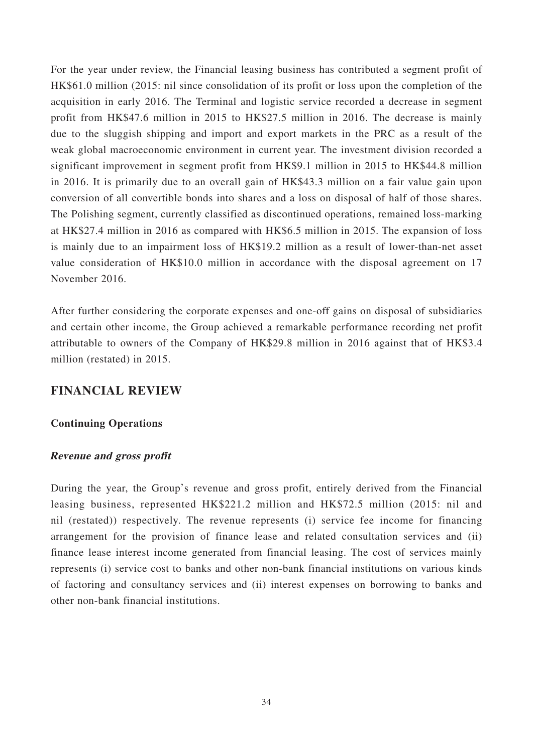For the year under review, the Financial leasing business has contributed a segment profit of HK\$61.0 million (2015: nil since consolidation of its profit or loss upon the completion of the acquisition in early 2016. The Terminal and logistic service recorded a decrease in segment profit from HK\$47.6 million in 2015 to HK\$27.5 million in 2016. The decrease is mainly due to the sluggish shipping and import and export markets in the PRC as a result of the weak global macroeconomic environment in current year. The investment division recorded a significant improvement in segment profit from HK\$9.1 million in 2015 to HK\$44.8 million in 2016. It is primarily due to an overall gain of HK\$43.3 million on a fair value gain upon conversion of all convertible bonds into shares and a loss on disposal of half of those shares. The Polishing segment, currently classified as discontinued operations, remained loss-marking at HK\$27.4 million in 2016 as compared with HK\$6.5 million in 2015. The expansion of loss is mainly due to an impairment loss of HK\$19.2 million as a result of lower-than-net asset value consideration of HK\$10.0 million in accordance with the disposal agreement on 17 November 2016.

After further considering the corporate expenses and one-off gains on disposal of subsidiaries and certain other income, the Group achieved a remarkable performance recording net profit attributable to owners of the Company of HK\$29.8 million in 2016 against that of HK\$3.4 million (restated) in 2015.

## **FINANCIAL REVIEW**

### **Continuing Operations**

### **Revenue and gross profit**

During the year, the Group's revenue and gross profit, entirely derived from the Financial leasing business, represented HK\$221.2 million and HK\$72.5 million (2015: nil and nil (restated)) respectively. The revenue represents (i) service fee income for financing arrangement for the provision of finance lease and related consultation services and (ii) finance lease interest income generated from financial leasing. The cost of services mainly represents (i) service cost to banks and other non-bank financial institutions on various kinds of factoring and consultancy services and (ii) interest expenses on borrowing to banks and other non-bank financial institutions.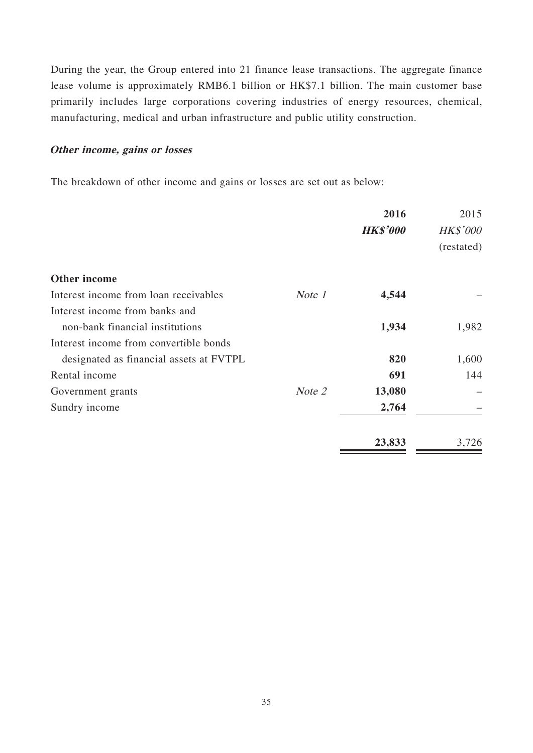During the year, the Group entered into 21 finance lease transactions. The aggregate finance lease volume is approximately RMB6.1 billion or HK\$7.1 billion. The main customer base primarily includes large corporations covering industries of energy resources, chemical, manufacturing, medical and urban infrastructure and public utility construction.

### **Other income, gains or losses**

The breakdown of other income and gains or losses are set out as below:

|                                         |        | 2016            | 2015            |
|-----------------------------------------|--------|-----------------|-----------------|
|                                         |        | <b>HK\$'000</b> | <b>HK\$'000</b> |
|                                         |        | (restated)      |                 |
| Other income                            |        |                 |                 |
| Interest income from loan receivables   | Note 1 | 4,544           |                 |
| Interest income from banks and          |        |                 |                 |
| non-bank financial institutions         |        | 1,934           | 1,982           |
| Interest income from convertible bonds  |        |                 |                 |
| designated as financial assets at FVTPL |        | 820             | 1,600           |
| Rental income                           |        | 691             | 144             |
| Government grants                       | Note 2 | 13,080          |                 |
| Sundry income                           |        | 2,764           |                 |
|                                         |        | 23,833          | 3,726           |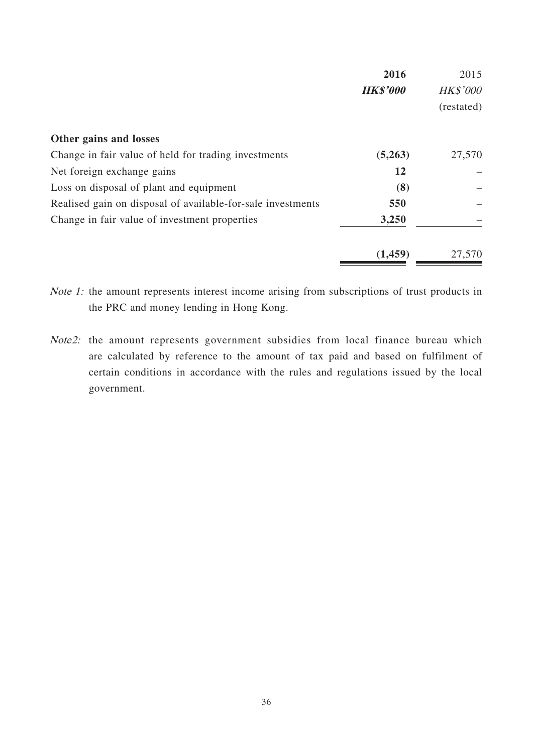|                                                             | 2016            | 2015                          |
|-------------------------------------------------------------|-----------------|-------------------------------|
|                                                             | <b>HK\$'000</b> | <b>HK\$'000</b><br>(restated) |
|                                                             |                 |                               |
| Other gains and losses                                      |                 |                               |
| Change in fair value of held for trading investments        | (5,263)         | 27,570                        |
| Net foreign exchange gains                                  | 12              |                               |
| Loss on disposal of plant and equipment                     | (8)             |                               |
| Realised gain on disposal of available-for-sale investments | 550             |                               |
| Change in fair value of investment properties               | 3,250           |                               |
|                                                             | (1,459)         | 27,570                        |

Note 1: the amount represents interest income arising from subscriptions of trust products in the PRC and money lending in Hong Kong.

Note2: the amount represents government subsidies from local finance bureau which are calculated by reference to the amount of tax paid and based on fulfilment of certain conditions in accordance with the rules and regulations issued by the local government.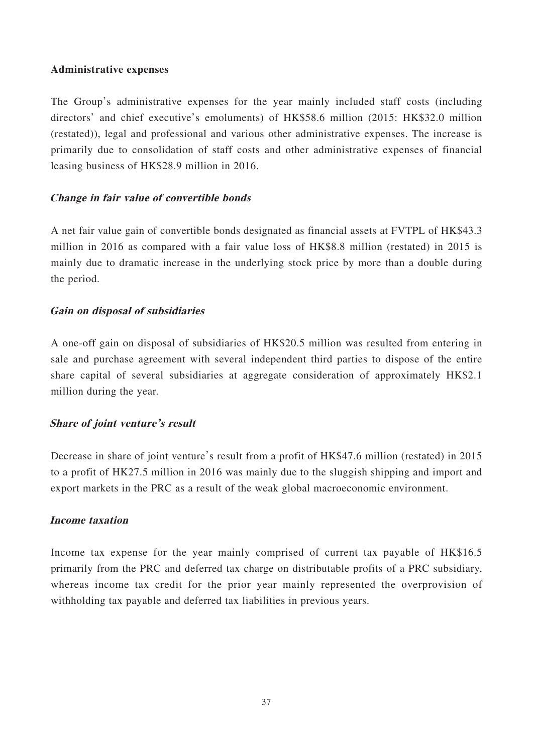### **Administrative expenses**

The Group's administrative expenses for the year mainly included staff costs (including directors' and chief executive's emoluments) of HK\$58.6 million (2015: HK\$32.0 million (restated)), legal and professional and various other administrative expenses. The increase is primarily due to consolidation of staff costs and other administrative expenses of financial leasing business of HK\$28.9 million in 2016.

## **Change in fair value of convertible bonds**

A net fair value gain of convertible bonds designated as financial assets at FVTPL of HK\$43.3 million in 2016 as compared with a fair value loss of HK\$8.8 million (restated) in 2015 is mainly due to dramatic increase in the underlying stock price by more than a double during the period.

## **Gain on disposal of subsidiaries**

A one-off gain on disposal of subsidiaries of HK\$20.5 million was resulted from entering in sale and purchase agreement with several independent third parties to dispose of the entire share capital of several subsidiaries at aggregate consideration of approximately HK\$2.1 million during the year.

## **Share of joint venture's result**

Decrease in share of joint venture's result from a profit of HK\$47.6 million (restated) in 2015 to a profit of HK27.5 million in 2016 was mainly due to the sluggish shipping and import and export markets in the PRC as a result of the weak global macroeconomic environment.

### **Income taxation**

Income tax expense for the year mainly comprised of current tax payable of HK\$16.5 primarily from the PRC and deferred tax charge on distributable profits of a PRC subsidiary, whereas income tax credit for the prior year mainly represented the overprovision of withholding tax payable and deferred tax liabilities in previous years.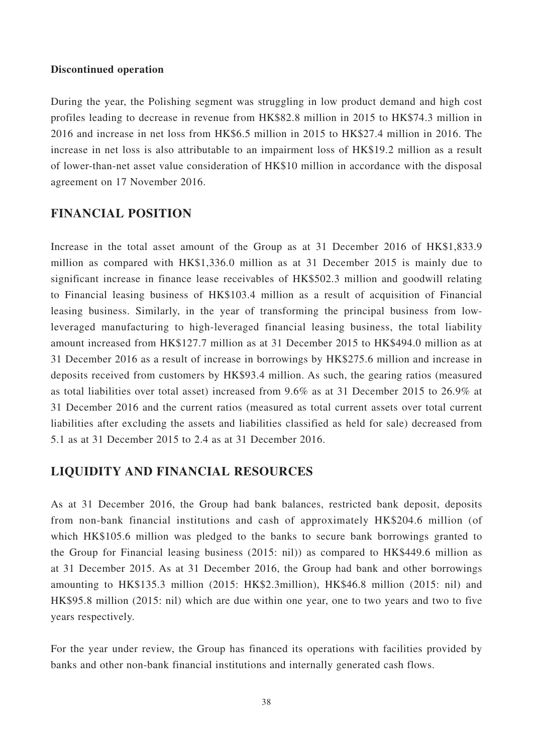#### **Discontinued operation**

During the year, the Polishing segment was struggling in low product demand and high cost profiles leading to decrease in revenue from HK\$82.8 million in 2015 to HK\$74.3 million in 2016 and increase in net loss from HK\$6.5 million in 2015 to HK\$27.4 million in 2016. The increase in net loss is also attributable to an impairment loss of HK\$19.2 million as a result of lower-than-net asset value consideration of HK\$10 million in accordance with the disposal agreement on 17 November 2016.

## **FINANCIAL POSITION**

Increase in the total asset amount of the Group as at 31 December 2016 of HK\$1,833.9 million as compared with HK\$1,336.0 million as at 31 December 2015 is mainly due to significant increase in finance lease receivables of HK\$502.3 million and goodwill relating to Financial leasing business of HK\$103.4 million as a result of acquisition of Financial leasing business. Similarly, in the year of transforming the principal business from lowleveraged manufacturing to high-leveraged financial leasing business, the total liability amount increased from HK\$127.7 million as at 31 December 2015 to HK\$494.0 million as at 31 December 2016 as a result of increase in borrowings by HK\$275.6 million and increase in deposits received from customers by HK\$93.4 million. As such, the gearing ratios (measured as total liabilities over total asset) increased from 9.6% as at 31 December 2015 to 26.9% at 31 December 2016 and the current ratios (measured as total current assets over total current liabilities after excluding the assets and liabilities classified as held for sale) decreased from 5.1 as at 31 December 2015 to 2.4 as at 31 December 2016.

### **LIQUIDITY AND FINANCIAL RESOURCES**

As at 31 December 2016, the Group had bank balances, restricted bank deposit, deposits from non-bank financial institutions and cash of approximately HK\$204.6 million (of which HK\$105.6 million was pledged to the banks to secure bank borrowings granted to the Group for Financial leasing business (2015: nil)) as compared to HK\$449.6 million as at 31 December 2015. As at 31 December 2016, the Group had bank and other borrowings amounting to HK\$135.3 million (2015: HK\$2.3million), HK\$46.8 million (2015: nil) and HK\$95.8 million (2015: nil) which are due within one year, one to two years and two to five years respectively.

For the year under review, the Group has financed its operations with facilities provided by banks and other non-bank financial institutions and internally generated cash flows.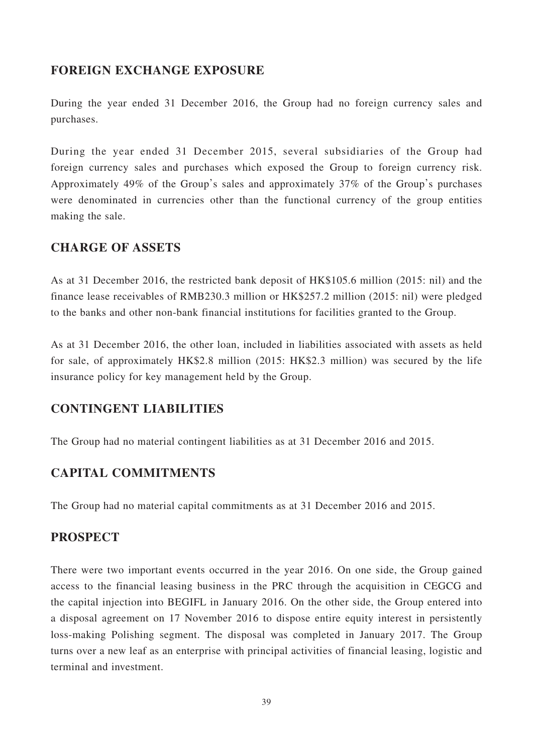## **FOREIGN EXCHANGE EXPOSURE**

During the year ended 31 December 2016, the Group had no foreign currency sales and purchases.

During the year ended 31 December 2015, several subsidiaries of the Group had foreign currency sales and purchases which exposed the Group to foreign currency risk. Approximately 49% of the Group's sales and approximately 37% of the Group's purchases were denominated in currencies other than the functional currency of the group entities making the sale.

## **CHARGE OF ASSETS**

As at 31 December 2016, the restricted bank deposit of HK\$105.6 million (2015: nil) and the finance lease receivables of RMB230.3 million or HK\$257.2 million (2015: nil) were pledged to the banks and other non-bank financial institutions for facilities granted to the Group.

As at 31 December 2016, the other loan, included in liabilities associated with assets as held for sale, of approximately HK\$2.8 million (2015: HK\$2.3 million) was secured by the life insurance policy for key management held by the Group.

## **CONTINGENT LIABILITIES**

The Group had no material contingent liabilities as at 31 December 2016 and 2015.

## **CAPITAL COMMITMENTS**

The Group had no material capital commitments as at 31 December 2016 and 2015.

## **PROSPECT**

There were two important events occurred in the year 2016. On one side, the Group gained access to the financial leasing business in the PRC through the acquisition in CEGCG and the capital injection into BEGIFL in January 2016. On the other side, the Group entered into a disposal agreement on 17 November 2016 to dispose entire equity interest in persistently loss-making Polishing segment. The disposal was completed in January 2017. The Group turns over a new leaf as an enterprise with principal activities of financial leasing, logistic and terminal and investment.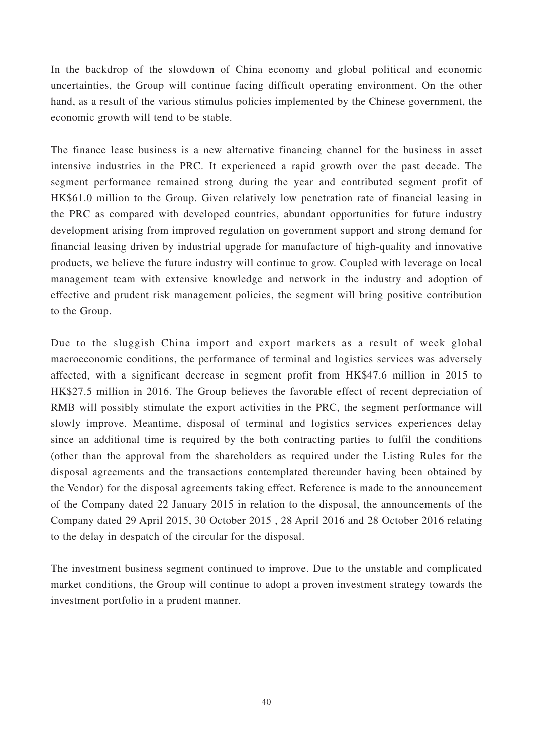In the backdrop of the slowdown of China economy and global political and economic uncertainties, the Group will continue facing difficult operating environment. On the other hand, as a result of the various stimulus policies implemented by the Chinese government, the economic growth will tend to be stable.

The finance lease business is a new alternative financing channel for the business in asset intensive industries in the PRC. It experienced a rapid growth over the past decade. The segment performance remained strong during the year and contributed segment profit of HK\$61.0 million to the Group. Given relatively low penetration rate of financial leasing in the PRC as compared with developed countries, abundant opportunities for future industry development arising from improved regulation on government support and strong demand for financial leasing driven by industrial upgrade for manufacture of high-quality and innovative products, we believe the future industry will continue to grow. Coupled with leverage on local management team with extensive knowledge and network in the industry and adoption of effective and prudent risk management policies, the segment will bring positive contribution to the Group.

Due to the sluggish China import and export markets as a result of week global macroeconomic conditions, the performance of terminal and logistics services was adversely affected, with a significant decrease in segment profit from HK\$47.6 million in 2015 to HK\$27.5 million in 2016. The Group believes the favorable effect of recent depreciation of RMB will possibly stimulate the export activities in the PRC, the segment performance will slowly improve. Meantime, disposal of terminal and logistics services experiences delay since an additional time is required by the both contracting parties to fulfil the conditions (other than the approval from the shareholders as required under the Listing Rules for the disposal agreements and the transactions contemplated thereunder having been obtained by the Vendor) for the disposal agreements taking effect. Reference is made to the announcement of the Company dated 22 January 2015 in relation to the disposal, the announcements of the Company dated 29 April 2015, 30 October 2015 , 28 April 2016 and 28 October 2016 relating to the delay in despatch of the circular for the disposal.

The investment business segment continued to improve. Due to the unstable and complicated market conditions, the Group will continue to adopt a proven investment strategy towards the investment portfolio in a prudent manner.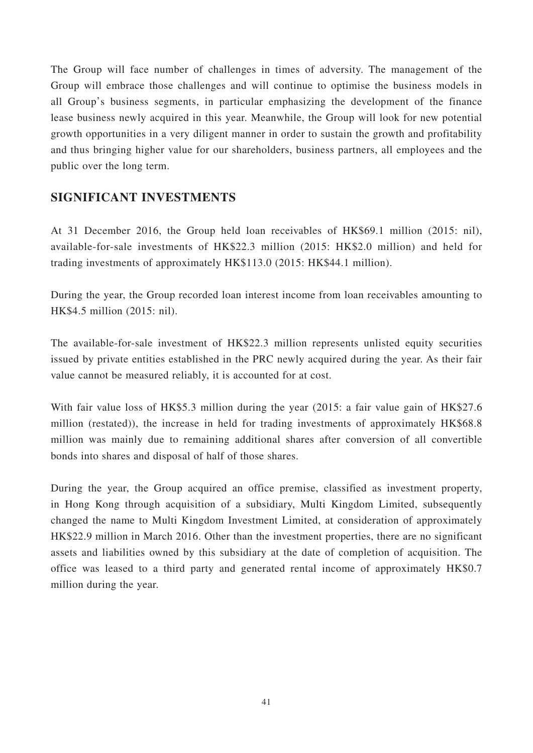The Group will face number of challenges in times of adversity. The management of the Group will embrace those challenges and will continue to optimise the business models in all Group's business segments, in particular emphasizing the development of the finance lease business newly acquired in this year. Meanwhile, the Group will look for new potential growth opportunities in a very diligent manner in order to sustain the growth and profitability and thus bringing higher value for our shareholders, business partners, all employees and the public over the long term.

## **SIGNIFICANT INVESTMENTS**

At 31 December 2016, the Group held loan receivables of HK\$69.1 million (2015: nil), available-for-sale investments of HK\$22.3 million (2015: HK\$2.0 million) and held for trading investments of approximately HK\$113.0 (2015: HK\$44.1 million).

During the year, the Group recorded loan interest income from loan receivables amounting to HK\$4.5 million (2015: nil).

The available-for-sale investment of HK\$22.3 million represents unlisted equity securities issued by private entities established in the PRC newly acquired during the year. As their fair value cannot be measured reliably, it is accounted for at cost.

With fair value loss of HK\$5.3 million during the year (2015: a fair value gain of HK\$27.6 million (restated)), the increase in held for trading investments of approximately HK\$68.8 million was mainly due to remaining additional shares after conversion of all convertible bonds into shares and disposal of half of those shares.

During the year, the Group acquired an office premise, classified as investment property, in Hong Kong through acquisition of a subsidiary, Multi Kingdom Limited, subsequently changed the name to Multi Kingdom Investment Limited, at consideration of approximately HK\$22.9 million in March 2016. Other than the investment properties, there are no significant assets and liabilities owned by this subsidiary at the date of completion of acquisition. The office was leased to a third party and generated rental income of approximately HK\$0.7 million during the year.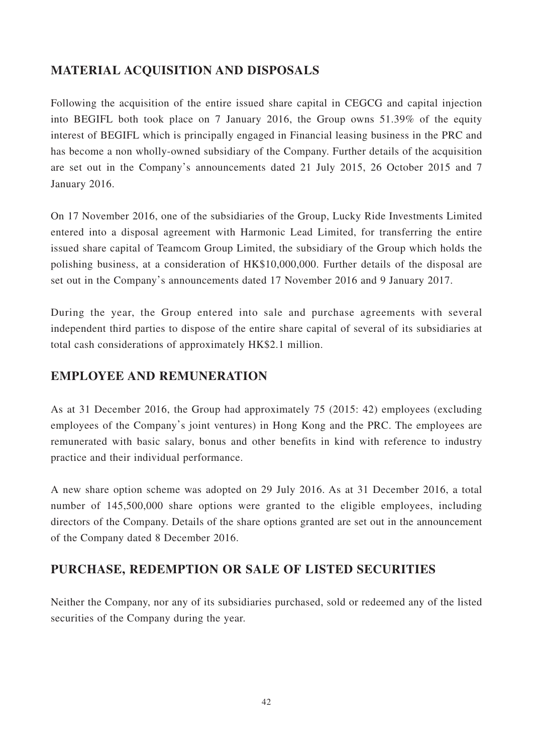## **MATERIAL ACQUISITION AND DISPOSALS**

Following the acquisition of the entire issued share capital in CEGCG and capital injection into BEGIFL both took place on 7 January 2016, the Group owns 51.39% of the equity interest of BEGIFL which is principally engaged in Financial leasing business in the PRC and has become a non wholly-owned subsidiary of the Company. Further details of the acquisition are set out in the Company's announcements dated 21 July 2015, 26 October 2015 and 7 January 2016.

On 17 November 2016, one of the subsidiaries of the Group, Lucky Ride Investments Limited entered into a disposal agreement with Harmonic Lead Limited, for transferring the entire issued share capital of Teamcom Group Limited, the subsidiary of the Group which holds the polishing business, at a consideration of HK\$10,000,000. Further details of the disposal are set out in the Company's announcements dated 17 November 2016 and 9 January 2017.

During the year, the Group entered into sale and purchase agreements with several independent third parties to dispose of the entire share capital of several of its subsidiaries at total cash considerations of approximately HK\$2.1 million.

## **EMPLOYEE AND REMUNERATION**

As at 31 December 2016, the Group had approximately 75 (2015: 42) employees (excluding employees of the Company's joint ventures) in Hong Kong and the PRC. The employees are remunerated with basic salary, bonus and other benefits in kind with reference to industry practice and their individual performance.

A new share option scheme was adopted on 29 July 2016. As at 31 December 2016, a total number of 145,500,000 share options were granted to the eligible employees, including directors of the Company. Details of the share options granted are set out in the announcement of the Company dated 8 December 2016.

## **PURCHASE, REDEMPTION OR SALE OF LISTED SECURITIES**

Neither the Company, nor any of its subsidiaries purchased, sold or redeemed any of the listed securities of the Company during the year.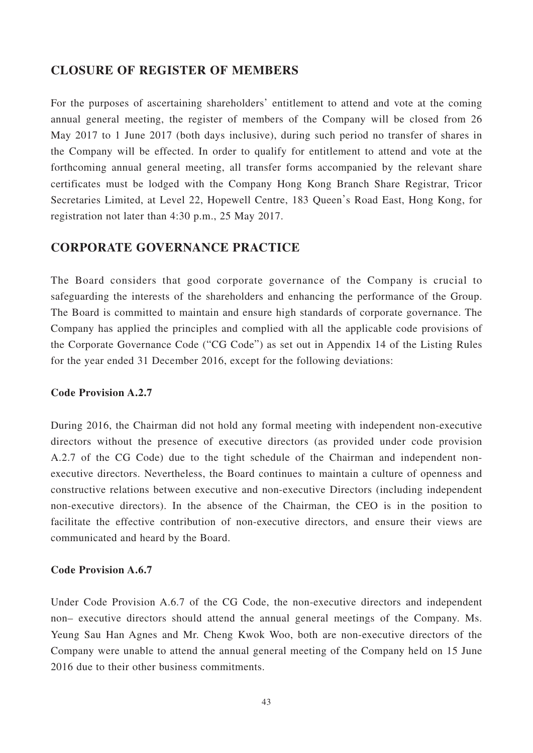## **CLOSURE OF REGISTER OF MEMBERS**

For the purposes of ascertaining shareholders' entitlement to attend and vote at the coming annual general meeting, the register of members of the Company will be closed from 26 May 2017 to 1 June 2017 (both days inclusive), during such period no transfer of shares in the Company will be effected. In order to qualify for entitlement to attend and vote at the forthcoming annual general meeting, all transfer forms accompanied by the relevant share certificates must be lodged with the Company Hong Kong Branch Share Registrar, Tricor Secretaries Limited, at Level 22, Hopewell Centre, 183 Queen's Road East, Hong Kong, for registration not later than 4:30 p.m., 25 May 2017.

## **CORPORATE GOVERNANCE PRACTICE**

The Board considers that good corporate governance of the Company is crucial to safeguarding the interests of the shareholders and enhancing the performance of the Group. The Board is committed to maintain and ensure high standards of corporate governance. The Company has applied the principles and complied with all the applicable code provisions of the Corporate Governance Code ("CG Code") as set out in Appendix 14 of the Listing Rules for the year ended 31 December 2016, except for the following deviations:

### **Code Provision A.2.7**

During 2016, the Chairman did not hold any formal meeting with independent non-executive directors without the presence of executive directors (as provided under code provision A.2.7 of the CG Code) due to the tight schedule of the Chairman and independent nonexecutive directors. Nevertheless, the Board continues to maintain a culture of openness and constructive relations between executive and non-executive Directors (including independent non-executive directors). In the absence of the Chairman, the CEO is in the position to facilitate the effective contribution of non-executive directors, and ensure their views are communicated and heard by the Board.

#### **Code Provision A.6.7**

Under Code Provision A.6.7 of the CG Code, the non-executive directors and independent non– executive directors should attend the annual general meetings of the Company. Ms. Yeung Sau Han Agnes and Mr. Cheng Kwok Woo, both are non-executive directors of the Company were unable to attend the annual general meeting of the Company held on 15 June 2016 due to their other business commitments.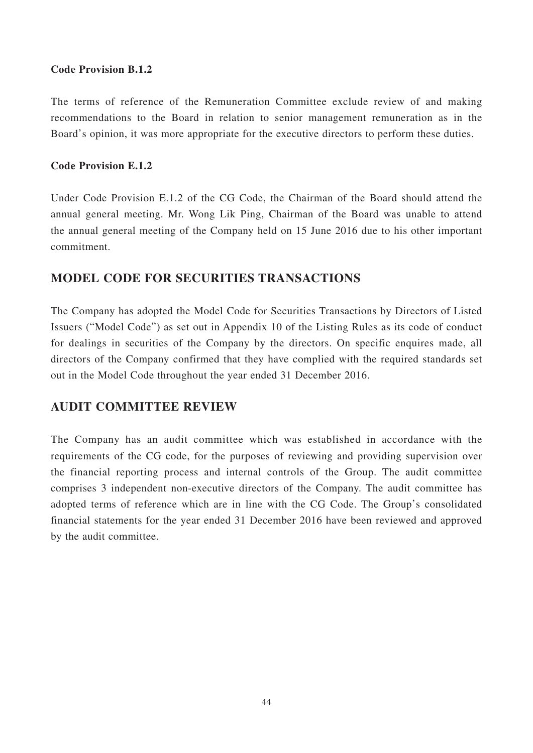### **Code Provision B.1.2**

The terms of reference of the Remuneration Committee exclude review of and making recommendations to the Board in relation to senior management remuneration as in the Board's opinion, it was more appropriate for the executive directors to perform these duties.

### **Code Provision E.1.2**

Under Code Provision E.1.2 of the CG Code, the Chairman of the Board should attend the annual general meeting. Mr. Wong Lik Ping, Chairman of the Board was unable to attend the annual general meeting of the Company held on 15 June 2016 due to his other important commitment.

## **MODEL CODE FOR SECURITIES TRANSACTIONS**

The Company has adopted the Model Code for Securities Transactions by Directors of Listed Issuers ("Model Code") as set out in Appendix 10 of the Listing Rules as its code of conduct for dealings in securities of the Company by the directors. On specific enquires made, all directors of the Company confirmed that they have complied with the required standards set out in the Model Code throughout the year ended 31 December 2016.

## **AUDIT COMMITTEE REVIEW**

The Company has an audit committee which was established in accordance with the requirements of the CG code, for the purposes of reviewing and providing supervision over the financial reporting process and internal controls of the Group. The audit committee comprises 3 independent non-executive directors of the Company. The audit committee has adopted terms of reference which are in line with the CG Code. The Group's consolidated financial statements for the year ended 31 December 2016 have been reviewed and approved by the audit committee.